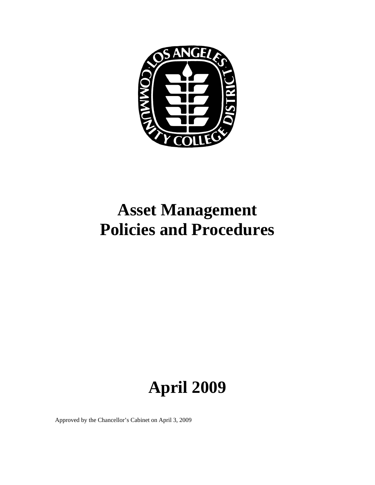

# **Asset Management Policies and Procedures**

# **April 2009**

Approved by the Chancellor's Cabinet on April 3, 2009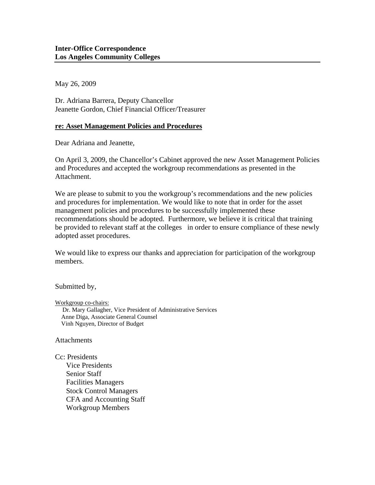May 26, 2009

Dr. Adriana Barrera, Deputy Chancellor Jeanette Gordon, Chief Financial Officer/Treasurer

#### **re: Asset Management Policies and Procedures**

Dear Adriana and Jeanette,

On April 3, 2009, the Chancellor's Cabinet approved the new Asset Management Policies and Procedures and accepted the workgroup recommendations as presented in the Attachment.

We are please to submit to you the workgroup's recommendations and the new policies and procedures for implementation. We would like to note that in order for the asset management policies and procedures to be successfully implemented these recommendations should be adopted. Furthermore, we believe it is critical that training be provided to relevant staff at the colleges in order to ensure compliance of these newly adopted asset procedures.

We would like to express our thanks and appreciation for participation of the workgroup members.

Submitted by,

Workgroup co-chairs: Dr. Mary Gallagher, Vice President of Administrative Services Anne Diga, Associate General Counsel Vinh Nguyen, Director of Budget

**Attachments** 

Cc: Presidents Vice Presidents Senior Staff Facilities Managers Stock Control Managers CFA and Accounting Staff Workgroup Members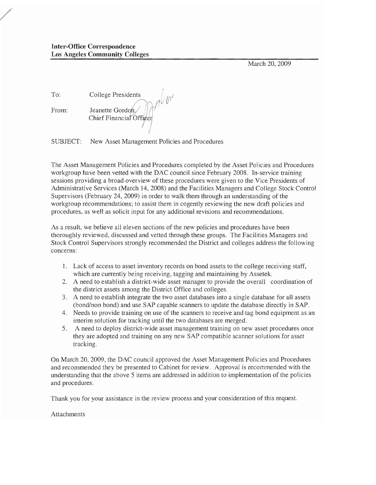**Inter-Office** Correspondence Los Angeles **Community** Colleges

March 20, 2009

| To:   | College Presidents                          |
|-------|---------------------------------------------|
| From: | Jeanette Gordon,<br>Chief Financial Officer |

SUBJECT: New Asset Management Policies and Procedures

The Asset Management Policies and Procedures completed by the Asset Policies and Procedures workgroup have been vetted with the DAC council since February 2008. In-service training sessions providing a broad overview of these procedures were given to the Vice Presidents of Administrative Services (March 14,2008) and the Facilities Managers and College Stock Control Supervisors (February 24, 2009) in order to walk them through an understanding of the workgroup recommendations; to assist them in cogently reviewing the new draft policies and procedures, as well as solicit input for any additional revisions and recommendations.

NV

As a result, we believe all eleven sections of the new policies and procedures have been thoroughly reviewed, discussed and vetted through these groups. The Facilities Managers and Stock Control Supervisors strongly recommended the District and colleges address the following concerns:

- 1. Lack of access to asset inventory records on bond assets to the college receiving staff, which are currently being receiving, tagging and maintaining by Assetek.
- 2. A need to establish a district-wide asset manager to provide the overall coordination of the district assets among the District Office and colleges.
- 3. A need to establish integrate the two asset databases into a single database for all assets (bond/non bond) and use SAP capable scanners to update the database directly in SAP.
- 4. Needs to provide training on use of the scanners to receive and tag bond equipment as an interim solution for tracking until the two databases are merged.
- 5. A need to deploy district-wide asset management training on new asset procedures once they are adopted and training on any new SAP compatible scanner solutions for asset tracking.

On March 20, 2009, the DAC council approved the Asset Management Policies and Procedures and recommended they be presented to Cabinet for review. Approval is recommended with the understanding that the above 5 items are addressed in addition to implementation of the policies and procedures.

Thank you for your assistance in the review process and your consideration of this request.

Attachments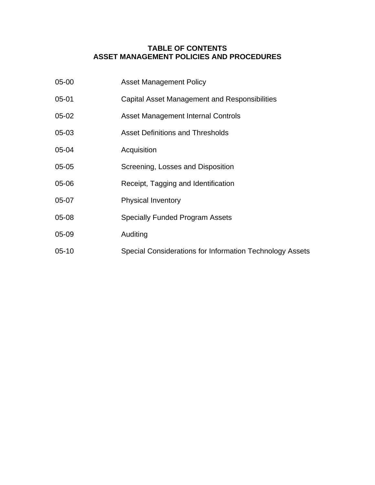## **TABLE OF CONTENTS ASSET MANAGEMENT POLICIES AND PROCEDURES**

| 05-00     | <b>Asset Management Policy</b>                           |
|-----------|----------------------------------------------------------|
| $05 - 01$ | Capital Asset Management and Responsibilities            |
| $05-02$   | <b>Asset Management Internal Controls</b>                |
| $05-03$   | <b>Asset Definitions and Thresholds</b>                  |
| 05-04     | Acquisition                                              |
| $05-05$   | Screening, Losses and Disposition                        |
| 05-06     | Receipt, Tagging and Identification                      |
| 05-07     | <b>Physical Inventory</b>                                |
| 05-08     | <b>Specially Funded Program Assets</b>                   |
| 05-09     | Auditing                                                 |
| $05 - 10$ | Special Considerations for Information Technology Assets |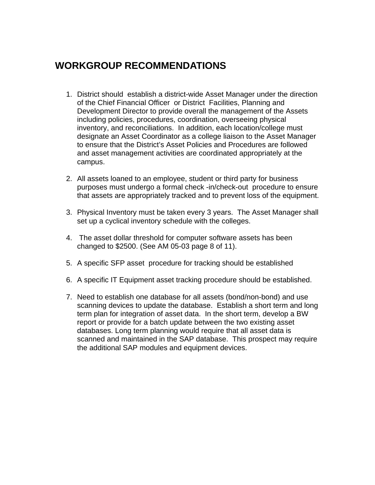# **WORKGROUP RECOMMENDATIONS**

- 1. District should establish a district-wide Asset Manager under the direction of the Chief Financial Officer or District Facilities, Planning and Development Director to provide overall the management of the Assets including policies, procedures, coordination, overseeing physical inventory, and reconciliations. In addition, each location/college must designate an Asset Coordinator as a college liaison to the Asset Manager to ensure that the District's Asset Policies and Procedures are followed and asset management activities are coordinated appropriately at the campus.
- 2. All assets loaned to an employee, student or third party for business purposes must undergo a formal check -in/check-out procedure to ensure that assets are appropriately tracked and to prevent loss of the equipment.
- 3. Physical Inventory must be taken every 3 years. The Asset Manager shall set up a cyclical inventory schedule with the colleges.
- 4. The asset dollar threshold for computer software assets has been changed to \$2500. (See AM 05-03 page 8 of 11).
- 5. A specific SFP asset procedure for tracking should be established
- 6. A specific IT Equipment asset tracking procedure should be established.
- 7. Need to establish one database for all assets (bond/non-bond) and use scanning devices to update the database. Establish a short term and long term plan for integration of asset data. In the short term, develop a BW report or provide for a batch update between the two existing asset databases. Long term planning would require that all asset data is scanned and maintained in the SAP database. This prospect may require the additional SAP modules and equipment devices.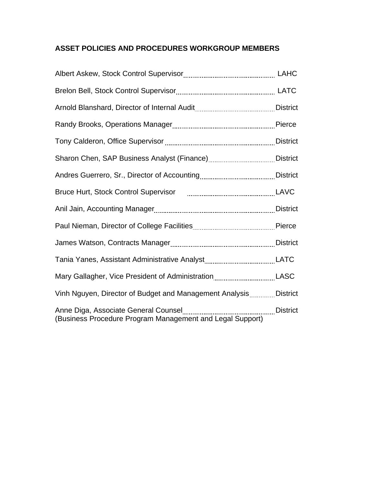# **ASSET POLICIES AND PROCEDURES WORKGROUP MEMBERS**

| Bruce Hurt, Stock Control Supervisor [1001] [1001] [1001] [1001] [1001] [1001] [1001] [1001] [1001] [1001] [10 |          |
|----------------------------------------------------------------------------------------------------------------|----------|
|                                                                                                                |          |
|                                                                                                                |          |
|                                                                                                                |          |
|                                                                                                                |          |
| Mary Gallagher, Vice President of AdministrationLASC                                                           |          |
| Vinh Nguyen, Director of Budget and Management Analysis District                                               |          |
| (Business Procedure Program Management and Legal Support)                                                      | District |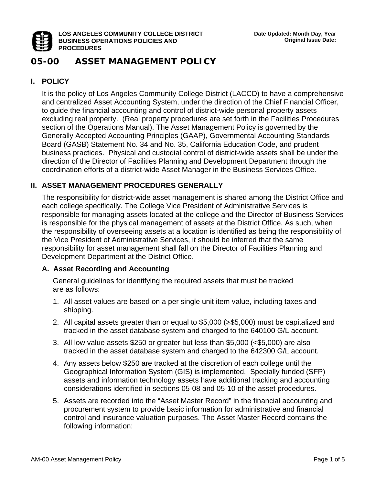

#### **LOS ANGELES COMMUNITY COLLEGE DISTRICT BUSINESS OPERATIONS POLICIES AND PROCEDURES**

# **05-00 ASSET MANAGEMENT POLICY**

# **I. POLICY**

It is the policy of Los Angeles Community College District (LACCD) to have a comprehensive and centralized Asset Accounting System, under the direction of the Chief Financial Officer, to guide the financial accounting and control of district-wide personal property assets excluding real property. (Real property procedures are set forth in the Facilities Procedures section of the Operations Manual). The Asset Management Policy is governed by the Generally Accepted Accounting Principles (GAAP), Governmental Accounting Standards Board (GASB) Statement No. 34 and No. 35, California Education Code, and prudent business practices. Physical and custodial control of district-wide assets shall be under the direction of the Director of Facilities Planning and Development Department through the coordination efforts of a district-wide Asset Manager in the Business Services Office.

# **II. ASSET MANAGEMENT PROCEDURES GENERALLY**

The responsibility for district-wide asset management is shared among the District Office and each college specifically. The College Vice President of Administrative Services is responsible for managing assets located at the college and the Director of Business Services is responsible for the physical management of assets at the District Office. As such, when the responsibility of overseeing assets at a location is identified as being the responsibility of the Vice President of Administrative Services, it should be inferred that the same responsibility for asset management shall fall on the Director of Facilities Planning and Development Department at the District Office.

# **A. Asset Recording and Accounting**

General guidelines for identifying the required assets that must be tracked are as follows:

- 1. All asset values are based on a per single unit item value, including taxes and shipping.
- 2. All capital assets greater than or equal to \$5,000 (≥\$5,000) must be capitalized and tracked in the asset database system and charged to the 640100 G/L account.
- 3. All low value assets \$250 or greater but less than \$5,000 (<\$5,000) are also tracked in the asset database system and charged to the 642300 G/L account.
- 4. Any assets below \$250 are tracked at the discretion of each college until the Geographical Information System (GIS) is implemented. Specially funded (SFP) assets and information technology assets have additional tracking and accounting considerations identified in sections 05-08 and 05-10 of the asset procedures.
- 5. Assets are recorded into the "Asset Master Record" in the financial accounting and procurement system to provide basic information for administrative and financial control and insurance valuation purposes. The Asset Master Record contains the following information: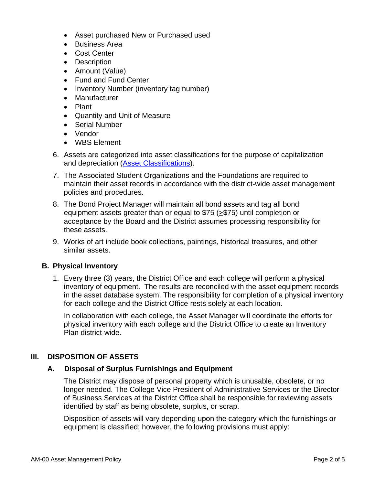- Asset purchased New or Purchased used
- Business Area
- Cost Center
- Description
- Amount (Value)
- Fund and Fund Center
- Inventory Number (inventory tag number)
- Manufacturer
- Plant
- Quantity and Unit of Measure
- Serial Number
- Vendor
- WBS Element
- 6. Assets are categorized into asset classifications for the purpose of capitalization and depreciation (Asset Classifications).
- 7. The Associated Student Organizations and the Foundations are required to maintain their asset records in accordance with the district-wide asset management policies and procedures.
- 8. The Bond Project Manager will maintain all bond assets and tag all bond equipment assets greater than or equal to \$75 (≥\$75) until completion or acceptance by the Board and the District assumes processing responsibility for these assets.
- 9. Works of art include book collections, paintings, historical treasures, and other similar assets.

#### **B. Physical Inventory**

1. Every three (3) years, the District Office and each college will perform a physical inventory of equipment. The results are reconciled with the asset equipment records in the asset database system. The responsibility for completion of a physical inventory for each college and the District Office rests solely at each location.

In collaboration with each college, the Asset Manager will coordinate the efforts for physical inventory with each college and the District Office to create an Inventory Plan district-wide.

#### **III. DISPOSITION OF ASSETS**

#### **A. Disposal of Surplus Furnishings and Equipment**

The District may dispose of personal property which is unusable, obsolete, or no longer needed. The College Vice President of Administrative Services or the Director of Business Services at the District Office shall be responsible for reviewing assets identified by staff as being obsolete, surplus, or scrap.

Disposition of assets will vary depending upon the category which the furnishings or equipment is classified; however, the following provisions must apply: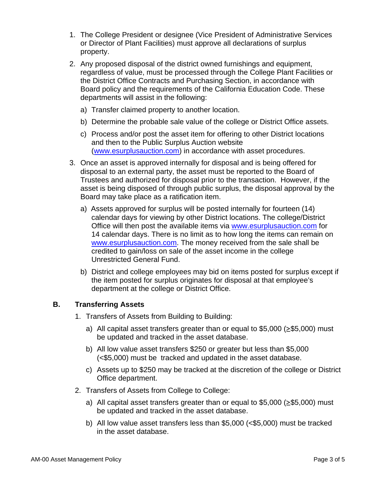- 1. The College President or designee (Vice President of Administrative Services or Director of Plant Facilities) must approve all declarations of surplus property.
- 2. Any proposed disposal of the district owned furnishings and equipment, regardless of value, must be processed through the College Plant Facilities or the District Office Contracts and Purchasing Section, in accordance with Board policy and the requirements of the California Education Code. These departments will assist in the following:
	- a) Transfer claimed property to another location.
	- b) Determine the probable sale value of the college or District Office assets.
	- c) Process and/or post the asset item for offering to other District locations and then to the Public Surplus Auction website (www.esurplusauction.com) in accordance with asset procedures.
- 3. Once an asset is approved internally for disposal and is being offered for disposal to an external party, the asset must be reported to the Board of Trustees and authorized for disposal prior to the transaction. However, if the asset is being disposed of through public surplus, the disposal approval by the Board may take place as a ratification item.
	- a) Assets approved for surplus will be posted internally for fourteen (14) calendar days for viewing by other District locations. The college/District Office will then post the available items via www.esurplusauction.com for 14 calendar days. There is no limit as to how long the items can remain on www.esurplusauction.com. The money received from the sale shall be credited to gain/loss on sale of the asset income in the college Unrestricted General Fund.
	- b) District and college employees may bid on items posted for surplus except if the item posted for surplus originates for disposal at that employee's department at the college or District Office.

#### **B. Transferring Assets**

- 1. Transfers of Assets from Building to Building:
	- a) All capital asset transfers greater than or equal to \$5,000 (≥\$5,000) must be updated and tracked in the asset database.
	- b) All low value asset transfers \$250 or greater but less than \$5,000 (<\$5,000) must be tracked and updated in the asset database.
	- c) Assets up to \$250 may be tracked at the discretion of the college or District Office department.
- 2. Transfers of Assets from College to College:
	- a) All capital asset transfers greater than or equal to  $$5,000$  ( $\geq$ \$5,000) must be updated and tracked in the asset database.
	- b) All low value asset transfers less than \$5,000 (<\$5,000) must be tracked in the asset database.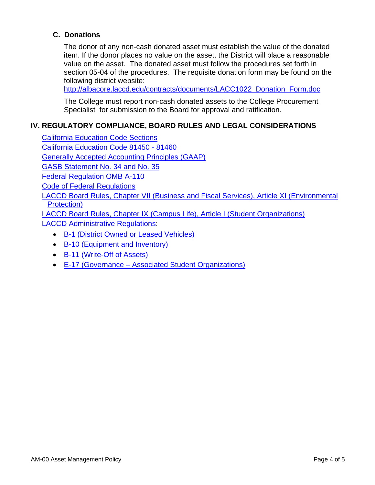# **C. Donations**

The donor of any non-cash donated asset must establish the value of the donated item. If the donor places no value on the asset, the District will place a reasonable value on the asset. The donated asset must follow the procedures set forth in section 05-04 of the procedures. The requisite donation form may be found on the following district website:

http://albacore.laccd.edu/contracts/documents/LACC1022\_Donation\_Form.doc

The College must report non-cash donated assets to the College Procurement Specialist for submission to the Board for approval and ratification.

# **IV. REGULATORY COMPLIANCE, BOARD RULES AND LEGAL CONSIDERATIONS**

California Education Code Sections California Education Code 81450 - 81460 Generally Accepted Accounting Principles (GAAP) GASB Statement No. 34 and No. 35 Federal Regulation OMB A-110 Code of Federal Regulations LACCD Board Rules, Chapter VII (Business and Fiscal Services), Article XI (Environmental Protection) LACCD Board Rules, Chapter IX (Campus Life), Article I (Student Organizations)

LACCD Administrative Regulations:

- B-1 (District Owned or Leased Vehicles)
- B-10 (Equipment and Inventory)
- B-11 (Write-Off of Assets)
- E-17 (Governance Associated Student Organizations)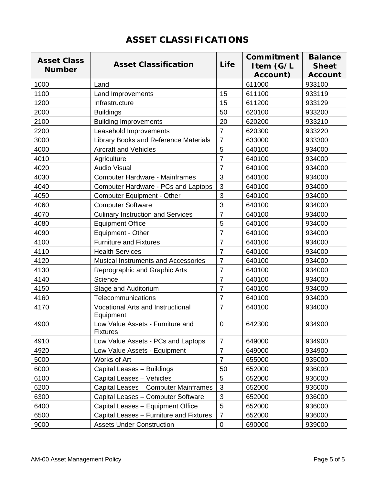|  |  | <b>ASSET CLASSIFICATIONS</b> |  |
|--|--|------------------------------|--|
|--|--|------------------------------|--|

| <b>Asset Class</b> |                                                       |                | Commitment | <b>Balance</b> |
|--------------------|-------------------------------------------------------|----------------|------------|----------------|
| <b>Number</b>      | <b>Asset Classification</b>                           | Life           | Item (G/L  | <b>Sheet</b>   |
|                    |                                                       |                | Account)   | <b>Account</b> |
| 1000               | Land                                                  |                | 611000     | 933100         |
| 1100               | Land Improvements                                     | 15             | 611100     | 933119         |
| 1200               | Infrastructure                                        | 15             | 611200     | 933129         |
| 2000               | <b>Buildings</b>                                      | 50             | 620100     | 933200         |
| 2100               | <b>Building Improvements</b>                          | 20             | 620200     | 933210         |
| 2200               | Leasehold Improvements                                | $\overline{7}$ | 620300     | 933220         |
| 3000               | Library Books and Reference Materials                 | $\overline{7}$ | 633000     | 933300         |
| 4000               | <b>Aircraft and Vehicles</b>                          | 5              | 640100     | 934000         |
| 4010               | Agriculture                                           | $\overline{7}$ | 640100     | 934000         |
| 4020               | <b>Audio Visual</b>                                   | $\overline{7}$ | 640100     | 934000         |
| 4030               | Computer Hardware - Mainframes                        | 3              | 640100     | 934000         |
| 4040               | <b>Computer Hardware - PCs and Laptops</b>            | 3              | 640100     | 934000         |
| 4050               | <b>Computer Equipment - Other</b>                     | 3              | 640100     | 934000         |
| 4060               | <b>Computer Software</b>                              | 3              | 640100     | 934000         |
| 4070               | <b>Culinary Instruction and Services</b>              | $\overline{7}$ | 640100     | 934000         |
| 4080               | <b>Equipment Office</b>                               | 5              | 640100     | 934000         |
| 4090               | Equipment - Other                                     | $\overline{7}$ | 640100     | 934000         |
| 4100               | <b>Furniture and Fixtures</b>                         | $\overline{7}$ | 640100     | 934000         |
| 4110               | <b>Health Services</b>                                | $\overline{7}$ | 640100     | 934000         |
| 4120               | Musical Instruments and Accessories                   | 7              | 640100     | 934000         |
| 4130               | Reprographic and Graphic Arts                         | $\overline{7}$ | 640100     | 934000         |
| 4140               | Science                                               | $\overline{7}$ | 640100     | 934000         |
| 4150               | Stage and Auditorium                                  | $\overline{7}$ | 640100     | 934000         |
| 4160               | Telecommunications                                    | $\overline{7}$ | 640100     | 934000         |
| 4170               | <b>Vocational Arts and Instructional</b><br>Equipment | $\overline{7}$ | 640100     | 934000         |
| 4900               | Low Value Assets - Furniture and<br><b>Fixtures</b>   | $\overline{0}$ | 642300     | 934900         |
| 4910               | Low Value Assets - PCs and Laptops                    | $\overline{7}$ | 649000     | 934900         |
| 4920               | Low Value Assets - Equipment                          | $\overline{7}$ | 649000     | 934900         |
| 5000               | Works of Art                                          | $\overline{7}$ | 655000     | 935000         |
| 6000               | Capital Leases - Buildings                            | 50             | 652000     | 936000         |
| 6100               | Capital Leases - Vehicles                             | 5              | 652000     | 936000         |
| 6200               | Capital Leases - Computer Mainframes                  | 3              | 652000     | 936000         |
| 6300               | Capital Leases - Computer Software                    | 3              | 652000     | 936000         |
| 6400               | Capital Leases - Equipment Office                     | 5              | 652000     | 936000         |
| 6500               | Capital Leases - Furniture and Fixtures               | $\overline{7}$ | 652000     | 936000         |
| 9000               | <b>Assets Under Construction</b>                      | $\mathbf 0$    | 690000     | 939000         |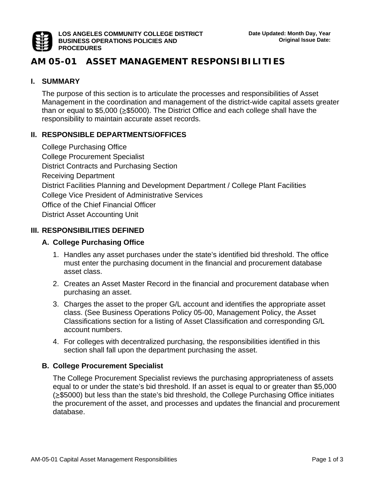

# **AM 05-01 ASSET MANAGEMENT RESPONSIBILITIES**

#### **I. SUMMARY**

The purpose of this section is to articulate the processes and responsibilities of Asset Management in the coordination and management of the district-wide capital assets greater than or equal to \$5,000 (≥\$5000). The District Office and each college shall have the responsibility to maintain accurate asset records.

#### **II. RESPONSIBLE DEPARTMENTS/OFFICES**

College Purchasing Office College Procurement Specialist District Contracts and Purchasing Section Receiving Department District Facilities Planning and Development Department / College Plant Facilities College Vice President of Administrative Services Office of the Chief Financial Officer District Asset Accounting Unit

#### **III. RESPONSIBILITIES DEFINED**

#### **A. College Purchasing Office**

- 1. Handles any asset purchases under the state's identified bid threshold. The office must enter the purchasing document in the financial and procurement database asset class.
- 2. Creates an Asset Master Record in the financial and procurement database when purchasing an asset.
- 3. Charges the asset to the proper G/L account and identifies the appropriate asset class. (See Business Operations Policy 05-00, Management Policy, the Asset Classifications section for a listing of Asset Classification and corresponding G/L account numbers.
- 4. For colleges with decentralized purchasing, the responsibilities identified in this section shall fall upon the department purchasing the asset.

#### **B. College Procurement Specialist**

The College Procurement Specialist reviews the purchasing appropriateness of assets equal to or under the state's bid threshold. If an asset is equal to or greater than \$5,000 (≥\$5000) but less than the state's bid threshold, the College Purchasing Office initiates the procurement of the asset, and processes and updates the financial and procurement database.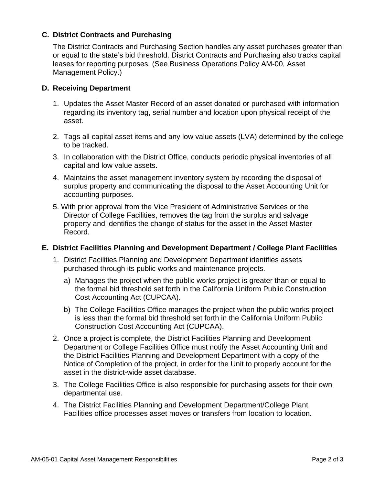#### **C. District Contracts and Purchasing**

The District Contracts and Purchasing Section handles any asset purchases greater than or equal to the state's bid threshold. District Contracts and Purchasing also tracks capital leases for reporting purposes. (See Business Operations Policy AM-00, Asset Management Policy.)

#### **D. Receiving Department**

- 1. Updates the Asset Master Record of an asset donated or purchased with information regarding its inventory tag, serial number and location upon physical receipt of the asset.
- 2. Tags all capital asset items and any low value assets (LVA) determined by the college to be tracked.
- 3. In collaboration with the District Office, conducts periodic physical inventories of all capital and low value assets.
- 4. Maintains the asset management inventory system by recording the disposal of surplus property and communicating the disposal to the Asset Accounting Unit for accounting purposes.
- 5. With prior approval from the Vice President of Administrative Services or the Director of College Facilities, removes the tag from the surplus and salvage property and identifies the change of status for the asset in the Asset Master Record.

#### **E. District Facilities Planning and Development Department / College Plant Facilities**

- 1. District Facilities Planning and Development Department identifies assets purchased through its public works and maintenance projects.
	- a) Manages the project when the public works project is greater than or equal to the formal bid threshold set forth in the California Uniform Public Construction Cost Accounting Act (CUPCAA).
	- b) The College Facilities Office manages the project when the public works project is less than the formal bid threshold set forth in the California Uniform Public Construction Cost Accounting Act (CUPCAA).
- 2. Once a project is complete, the District Facilities Planning and Development Department or College Facilities Office must notify the Asset Accounting Unit and the District Facilities Planning and Development Department with a copy of the Notice of Completion of the project, in order for the Unit to properly account for the asset in the district-wide asset database.
- 3. The College Facilities Office is also responsible for purchasing assets for their own departmental use.
- 4. The District Facilities Planning and Development Department/College Plant Facilities office processes asset moves or transfers from location to location.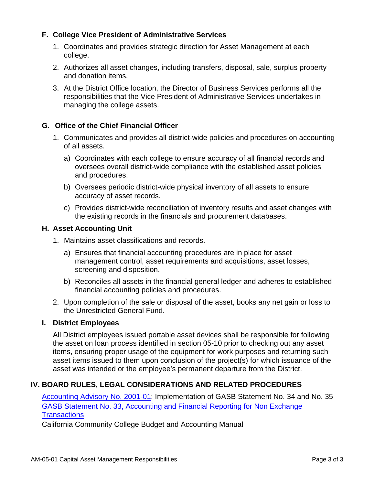### **F. College Vice President of Administrative Services**

- 1. Coordinates and provides strategic direction for Asset Management at each college.
- 2. Authorizes all asset changes, including transfers, disposal, sale, surplus property and donation items.
- 3. At the District Office location, the Director of Business Services performs all the responsibilities that the Vice President of Administrative Services undertakes in managing the college assets.

#### **G. Office of the Chief Financial Officer**

- 1. Communicates and provides all district-wide policies and procedures on accounting of all assets.
	- a) Coordinates with each college to ensure accuracy of all financial records and oversees overall district-wide compliance with the established asset policies and procedures.
	- b) Oversees periodic district-wide physical inventory of all assets to ensure accuracy of asset records.
	- c) Provides district-wide reconciliation of inventory results and asset changes with the existing records in the financials and procurement databases.

#### **H. Asset Accounting Unit**

- 1. Maintains asset classifications and records.
	- a) Ensures that financial accounting procedures are in place for asset management control, asset requirements and acquisitions, asset losses, screening and disposition.
	- b) Reconciles all assets in the financial general ledger and adheres to established financial accounting policies and procedures.
- 2. Upon completion of the sale or disposal of the asset, books any net gain or loss to the Unrestricted General Fund.

#### **I. District Employees**

All District employees issued portable asset devices shall be responsible for following the asset on loan process identified in section 05-10 prior to checking out any asset items, ensuring proper usage of the equipment for work purposes and returning such asset items issued to them upon conclusion of the project(s) for which issuance of the asset was intended or the employee's permanent departure from the District.

# **IV. BOARD RULES, LEGAL CONSIDERATIONS AND RELATED PROCEDURES**

Accounting Advisory No. 2001-01: Implementation of GASB Statement No. 34 and No. 35 GASB Statement No. 33, Accounting and Financial Reporting for Non Exchange **Transactions** 

California Community College Budget and Accounting Manual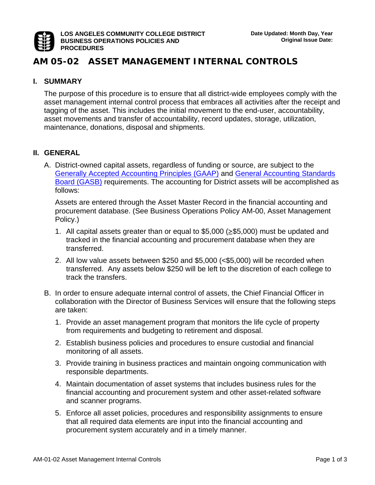

# **AM 05-02 ASSET MANAGEMENT INTERNAL CONTROLS**

#### **I. SUMMARY**

The purpose of this procedure is to ensure that all district-wide employees comply with the asset management internal control process that embraces all activities after the receipt and tagging of the asset. This includes the initial movement to the end-user, accountability, asset movements and transfer of accountability, record updates, storage, utilization, maintenance, donations, disposal and shipments.

#### **II. GENERAL**

A. District-owned capital assets, regardless of funding or source, are subject to the Generally Accepted Accounting Principles (GAAP) and General Accounting Standards Board (GASB) requirements. The accounting for District assets will be accomplished as follows:

Assets are entered through the Asset Master Record in the financial accounting and procurement database. (See Business Operations Policy AM-00, Asset Management Policy.)

- 1. All capital assets greater than or equal to \$5,000 (≥\$5,000) must be updated and tracked in the financial accounting and procurement database when they are transferred.
- 2. All low value assets between \$250 and \$5,000 (<\$5,000) will be recorded when transferred. Any assets below \$250 will be left to the discretion of each college to track the transfers.
- B. In order to ensure adequate internal control of assets, the Chief Financial Officer in collaboration with the Director of Business Services will ensure that the following steps are taken:
	- 1. Provide an asset management program that monitors the life cycle of property from requirements and budgeting to retirement and disposal.
	- 2. Establish business policies and procedures to ensure custodial and financial monitoring of all assets.
	- 3. Provide training in business practices and maintain ongoing communication with responsible departments.
	- 4. Maintain documentation of asset systems that includes business rules for the financial accounting and procurement system and other asset-related software and scanner programs.
	- 5. Enforce all asset policies, procedures and responsibility assignments to ensure that all required data elements are input into the financial accounting and procurement system accurately and in a timely manner.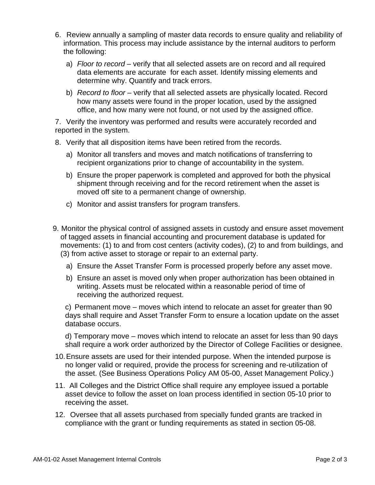- 6. Review annually a sampling of master data records to ensure quality and reliability of information. This process may include assistance by the internal auditors to perform the following:
	- a) *Floor to record* verify that all selected assets are on record and all required data elements are accurate for each asset. Identify missing elements and determine why. Quantify and track errors.
	- b) *Record to floor* verify that all selected assets are physically located. Record how many assets were found in the proper location, used by the assigned office, and how many were not found, or not used by the assigned office.

7. Verify the inventory was performed and results were accurately recorded and reported in the system.

- 8. Verify that all disposition items have been retired from the records.
	- a) Monitor all transfers and moves and match notifications of transferring to recipient organizations prior to change of accountability in the system.
	- b) Ensure the proper paperwork is completed and approved for both the physical shipment through receiving and for the record retirement when the asset is moved off site to a permanent change of ownership.
	- c) Monitor and assist transfers for program transfers.
- 9. Monitor the physical control of assigned assets in custody and ensure asset movement of tagged assets in financial accounting and procurement database is updated for movements: (1) to and from cost centers (activity codes), (2) to and from buildings, and (3) from active asset to storage or repair to an external party.
	- a) Ensure the Asset Transfer Form is processed properly before any asset move.
	- b) Ensure an asset is moved only when proper authorization has been obtained in writing. Assets must be relocated within a reasonable period of time of receiving the authorized request.

c) Permanent move – moves which intend to relocate an asset for greater than 90 days shall require and Asset Transfer Form to ensure a location update on the asset database occurs.

d) Temporary move – moves which intend to relocate an asset for less than 90 days shall require a work order authorized by the Director of College Facilities or designee.

- 10. Ensure assets are used for their intended purpose. When the intended purpose is no longer valid or required, provide the process for screening and re-utilization of the asset. (See Business Operations Policy AM 05-00, Asset Management Policy.)
- 11. All Colleges and the District Office shall require any employee issued a portable asset device to follow the asset on loan process identified in section 05-10 prior to receiving the asset.
- 12. Oversee that all assets purchased from specially funded grants are tracked in compliance with the grant or funding requirements as stated in section 05-08.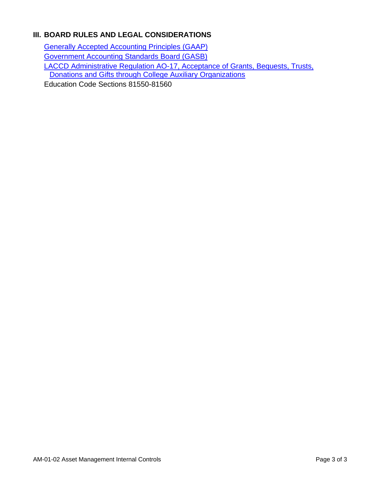# **III. BOARD RULES AND LEGAL CONSIDERATIONS**

Generally Accepted Accounting Principles (GAAP) Government Accounting Standards Board (GASB) LACCD Administrative Regulation AO-17, Acceptance of Grants, Bequests, Trusts, Donations and Gifts through College Auxiliary Organizations Education Code Sections 81550-81560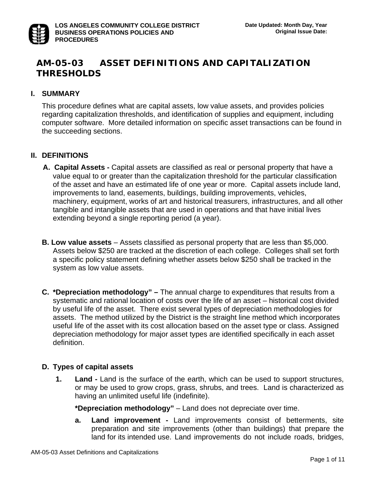# **AM-05-03 ASSET DEFINITIONS AND CAPITALIZATION THRESHOLDS**

#### **I. SUMMARY**

This procedure defines what are capital assets, low value assets, and provides policies regarding capitalization thresholds, and identification of supplies and equipment, including computer software. More detailed information on specific asset transactions can be found in the succeeding sections.

#### **II. DEFINITIONS**

- **A. Capital Assets** Capital assets are classified as real or personal property that have a value equal to or greater than the capitalization threshold for the particular classification of the asset and have an estimated life of one year or more. Capital assets include land, improvements to land, easements, buildings, building improvements, vehicles, machinery, equipment, works of art and historical treasurers, infrastructures, and all other tangible and intangible assets that are used in operations and that have initial lives extending beyond a single reporting period (a year).
- **B. Low value assets** Assets classified as personal property that are less than \$5,000. Assets below \$250 are tracked at the discretion of each college. Colleges shall set forth a specific policy statement defining whether assets below \$250 shall be tracked in the system as low value assets.
- **C. \*Depreciation methodology"** The annual charge to expenditures that results from a systematic and rational location of costs over the life of an asset – historical cost divided by useful life of the asset. There exist several types of depreciation methodologies for assets. The method utilized by the District is the straight line method which incorporates useful life of the asset with its cost allocation based on the asset type or class. Assigned depreciation methodology for major asset types are identified specifically in each asset definition.

#### **D. Types of capital assets**

**1. Land -** Land is the surface of the earth, which can be used to support structures, or may be used to grow crops, grass, shrubs, and trees. Land is characterized as having an unlimited useful life (indefinite).

 **\*Depreciation methodology"** – Land does not depreciate over time.

**a. Land improvement -** Land improvements consist of betterments, site preparation and site improvements (other than buildings) that prepare the land for its intended use. Land improvements do not include roads, bridges,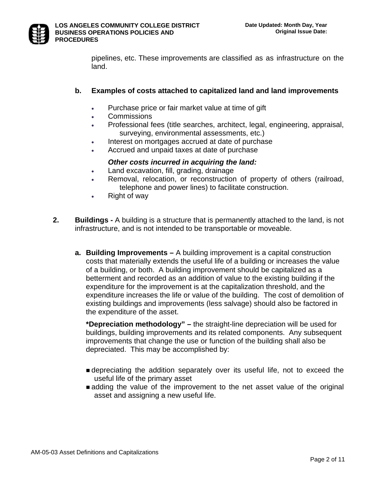

pipelines, etc. These improvements are classified as as infrastructure on the land.

### **b. Examples of costs attached to capitalized land and land improvements**

- Purchase price or fair market value at time of gift
- Commissions
- Professional fees (title searches, architect, legal, engineering, appraisal, surveying, environmental assessments, etc.)
- Interest on mortgages accrued at date of purchase
- Accrued and unpaid taxes at date of purchase

### *Other costs incurred in acquiring the land:*

- Land excavation, fill, grading, drainage
- Removal, relocation, or reconstruction of property of others (railroad, telephone and power lines) to facilitate construction.
- Right of way
- **2. Buildings** A building is a structure that is permanently attached to the land, is not infrastructure, and is not intended to be transportable or moveable.
	- **a. Building Improvements** A building improvement is a capital construction costs that materially extends the useful life of a building or increases the value of a building, or both. A building improvement should be capitalized as a betterment and recorded as an addition of value to the existing building if the expenditure for the improvement is at the capitalization threshold, and the expenditure increases the life or value of the building. The cost of demolition of existing buildings and improvements (less salvage) should also be factored in the expenditure of the asset.

**\*Depreciation methodology" –** the straight-line depreciation will be used for buildings, building improvements and its related components. Any subsequent improvements that change the use or function of the building shall also be depreciated. This may be accomplished by:

- depreciating the addition separately over its useful life, not to exceed the useful life of the primary asset
- adding the value of the improvement to the net asset value of the original asset and assigning a new useful life.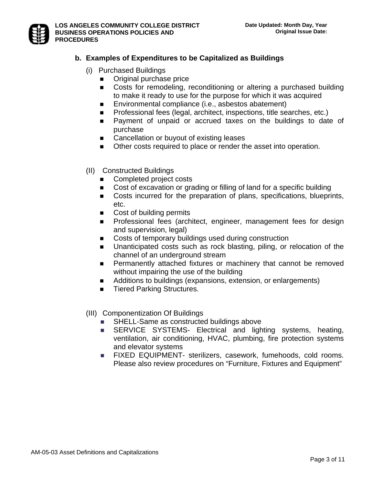# **b. Examples of Expenditures to be Capitalized as Buildings**

- (i) Purchased Buildings
	- **Original purchase price**
	- Costs for remodeling, reconditioning or altering a purchased building to make it ready to use for the purpose for which it was acquired
	- **Environmental compliance (i.e., asbestos abatement)**
	- **Professional fees (legal, architect, inspections, title searches, etc.)**
	- **Payment of unpaid or accrued taxes on the buildings to date of** purchase
	- Cancellation or buyout of existing leases
	- Other costs required to place or render the asset into operation.
- (II) Constructed Buildings
	- Completed project costs
	- Cost of excavation or grading or filling of land for a specific building
	- Costs incurred for the preparation of plans, specifications, blueprints, etc.
	- Cost of building permits
	- **Professional fees (architect, engineer, management fees for design** and supervision, legal)
	- Costs of temporary buildings used during construction
	- Unanticipated costs such as rock blasting, piling, or relocation of the channel of an underground stream
	- **Permanently attached fixtures or machinery that cannot be removed** without impairing the use of the building
	- Additions to buildings (expansions, extension, or enlargements)
	- Tiered Parking Structures.
- (III) Componentization Of Buildings
	- SHELL-Same as constructed buildings above
	- **SERVICE SYSTEMS- Electrical and lighting systems, heating,** ventilation, air conditioning, HVAC, plumbing, fire protection systems and elevator systems
	- **FIXED EQUIPMENT- sterilizers, casework, fumehoods, cold rooms.** Please also review procedures on "Furniture, Fixtures and Equipment"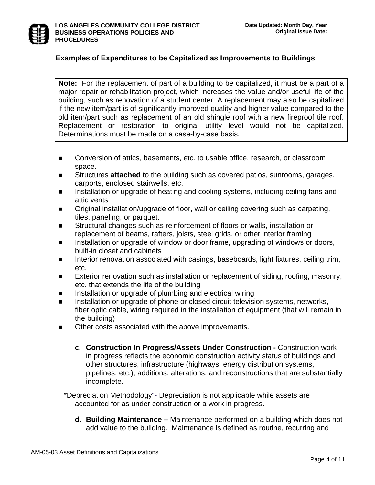

# **Examples of Expenditures to be Capitalized as Improvements to Buildings**

**Note:** For the replacement of part of a building to be capitalized, it must be a part of a major repair or rehabilitation project, which increases the value and/or useful life of the building, such as renovation of a student center. A replacement may also be capitalized if the new item/part is of significantly improved quality and higher value compared to the old item/part such as replacement of an old shingle roof with a new fireproof tile roof. Replacement or restoration to original utility level would not be capitalized. Determinations must be made on a case-by-case basis.

- Conversion of attics, basements, etc. to usable office, research, or classroom space.
- **Structures attached** to the building such as covered patios, sunrooms, garages, carports, enclosed stairwells, etc.
- Installation or upgrade of heating and cooling systems, including ceiling fans and attic vents
- Original installation/upgrade of floor, wall or ceiling covering such as carpeting, tiles, paneling, or parquet.
- **EXECT** Structural changes such as reinforcement of floors or walls, installation or replacement of beams, rafters, joists, steel grids, or other interior framing
- Installation or upgrade of window or door frame, upgrading of windows or doors, built-in closet and cabinets
- Interior renovation associated with casings, baseboards, light fixtures, ceiling trim, etc.
- Exterior renovation such as installation or replacement of siding, roofing, masonry, etc. that extends the life of the building
- **IFFERG** Installation or upgrade of plumbing and electrical wiring
- **Installation or upgrade of phone or closed circuit television systems, networks,**  fiber optic cable, wiring required in the installation of equipment (that will remain in the building)
- Other costs associated with the above improvements.
	- **c. Construction In Progress/Assets Under Construction -** Construction work in progress reflects the economic construction activity status of buildings and other structures, infrastructure (highways, energy distribution systems, pipelines, etc.), additions, alterations, and reconstructions that are substantially incomplete.

\*Depreciation Methodology"- Depreciation is not applicable while assets are accounted for as under construction or a work in progress.

**d. Building Maintenance –** Maintenance performed on a building which does not add value to the building. Maintenance is defined as routine, recurring and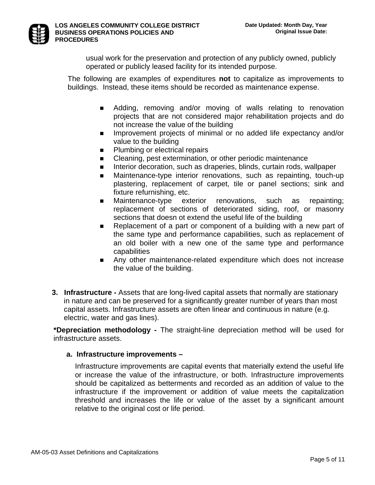

usual work for the preservation and protection of any publicly owned, publicly operated or publicly leased facility for its intended purpose.

The following are examples of expenditures **not** to capitalize as improvements to buildings. Instead, these items should be recorded as maintenance expense.

- Adding, removing and/or moving of walls relating to renovation projects that are not considered major rehabilitation projects and do not increase the value of the building
- **IMPROVEMENT PROJECTS of minimal or no added life expectancy and/or** value to the building
- **Plumbing or electrical repairs**
- E Cleaning, pest extermination, or other periodic maintenance
- Interior decoration, such as draperies, blinds, curtain rods, wallpaper
- Maintenance-type interior renovations, such as repainting, touch-up plastering, replacement of carpet, tile or panel sections; sink and fixture refurnishing, etc.
- **Maintenance-type exterior renovations, such as repainting;** replacement of sections of deteriorated siding, roof, or masonry sections that doesn ot extend the useful life of the building
- **EXE** Replacement of a part or component of a building with a new part of the same type and performance capabilities, such as replacement of an old boiler with a new one of the same type and performance capabilities
- Any other maintenance-related expenditure which does not increase the value of the building.
- **3. Infrastructure** Assets that are long-lived capital assets that normally are stationary in nature and can be preserved for a significantly greater number of years than most capital assets. Infrastructure assets are often linear and continuous in nature (e.g. electric, water and gas lines).

**\*Depreciation methodology -** The straight-line depreciation method will be used for infrastructure assets.

#### **a. Infrastructure improvements –**

Infrastructure improvements are capital events that materially extend the useful life or increase the value of the infrastructure, or both. Infrastructure improvements should be capitalized as betterments and recorded as an addition of value to the infrastructure if the improvement or addition of value meets the capitalization threshold and increases the life or value of the asset by a significant amount relative to the original cost or life period.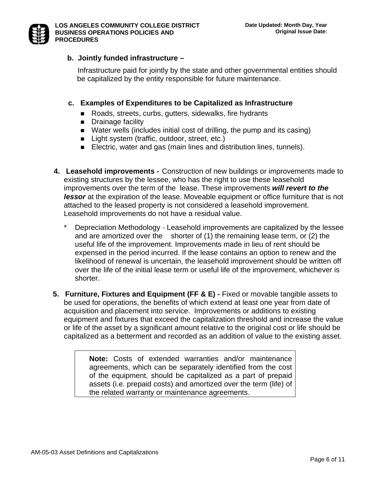

# **b. Jointly funded infrastructure –**

Infrastructure paid for jointly by the state and other governmental entities should be capitalized by the entity responsible for future maintenance.

# **c. Examples of Expenditures to be Capitalized as Infrastructure**

- Roads, streets, curbs, gutters, sidewalks, fire hydrants
- **Drainage facility**
- Water wells (includes initial cost of drilling, the pump and its casing)
- Light system (traffic, outdoor, street, etc.)
- Electric, water and gas (main lines and distribution lines, tunnels).
- **4. Leasehold improvements** Construction of new buildings or improvements made to existing structures by the lessee, who has the right to use these leasehold improvements over the term of the lease. These improvements *will revert to the lessor* at the expiration of the lease. Moveable equipment or office furniture that is not attached to the leased property is not considered a leasehold improvement. Leasehold improvements do not have a residual value.
	- Depreciation Methodology Leasehold improvements are capitalized by the lessee and are amortized over the shorter of (1) the remaining lease term, or (2) the useful life of the improvement. Improvements made in lieu of rent should be expensed in the period incurred. If the lease contains an option to renew and the likelihood of renewal is uncertain, the leasehold improvement should be written off over the life of the initial lease term or useful life of the improvement, whichever is shorter.
- **5. Furniture, Fixtures and Equipment (FF & E) Fixed or movable tangible assets to** be used for operations, the benefits of which extend at least one year from date of acquisition and placement into service. Improvements or additions to existing equipment and fixtures that exceed the capitalization threshold and increase the value or life of the asset by a significant amount relative to the original cost or life should be capitalized as a betterment and recorded as an addition of value to the existing asset.

**Note:** Costs of extended warranties and/or maintenance agreements, which can be separately identified from the cost of the equipment, should be capitalized as a part of prepaid assets (i.e. prepaid costs) and amortized over the term (life) of the related warranty or maintenance agreements.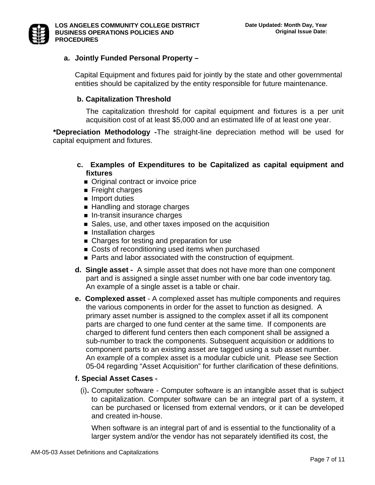

# **a. Jointly Funded Personal Property –**

Capital Equipment and fixtures paid for jointly by the state and other governmental entities should be capitalized by the entity responsible for future maintenance.

## **b. Capitalization Threshold**

The capitalization threshold for capital equipment and fixtures is a per unit acquisition cost of at least \$5,000 and an estimated life of at least one year.

 **\*Depreciation Methodology -**The straight-line depreciation method will be used for capital equipment and fixtures.

- **c. Examples of Expenditures to be Capitalized as capital equipment and fixtures**
	- **Original contract or invoice price**
	- Freight charges
	- **Import duties**
	- Handling and storage charges
	- **In-transit insurance charges**
	- Sales, use, and other taxes imposed on the acquisition
	- **Installation charges**
	- Charges for testing and preparation for use
	- Costs of reconditioning used items when purchased
	- Parts and labor associated with the construction of equipment.
- **d. Single asset** A simple asset that does not have more than one component part and is assigned a single asset number with one bar code inventory tag. An example of a single asset is a table or chair.
- **e. Complexed asset** A complexed asset has multiple components and requires the various components in order for the asset to function as designed. A primary asset number is assigned to the complex asset if all its component parts are charged to one fund center at the same time. If components are charged to different fund centers then each component shall be assigned a sub-number to track the components. Subsequent acquisition or additions to component parts to an existing asset are tagged using a sub asset number. An example of a complex asset is a modular cubicle unit. Please see Section 05-04 regarding "Asset Acquisition" for further clarification of these definitions.

# **f. Special Asset Cases -**

(i)**.** Computer software - Computer software is an intangible asset that is subject to capitalization. Computer software can be an integral part of a system, it can be purchased or licensed from external vendors, or it can be developed and created in-house.

 When software is an integral part of and is essential to the functionality of a larger system and/or the vendor has not separately identified its cost, the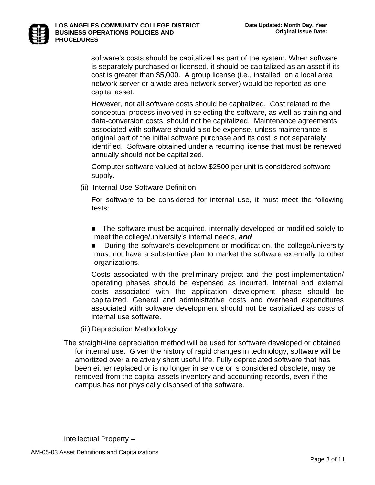

#### **LOS ANGELES COMMUNITY COLLEGE DISTRICT BUSINESS OPERATIONS POLICIES AND PROCEDURES**

software's costs should be capitalized as part of the system. When software is separately purchased or licensed, it should be capitalized as an asset if its cost is greater than \$5,000. A group license (i.e., installed on a local area network server or a wide area network server) would be reported as one capital asset.

 However, not all software costs should be capitalized. Cost related to the conceptual process involved in selecting the software, as well as training and data-conversion costs, should not be capitalized. Maintenance agreements associated with software should also be expense, unless maintenance is original part of the initial software purchase and its cost is not separately identified. Software obtained under a recurring license that must be renewed annually should not be capitalized.

 Computer software valued at below \$2500 per unit is considered software supply.

(ii)Internal Use Software Definition

For software to be considered for internal use, it must meet the following tests:

- The software must be acquired, internally developed or modified solely to meet the college/university's internal needs, *and*
- During the software's development or modification, the college/university must not have a substantive plan to market the software externally to other organizations.

Costs associated with the preliminary project and the post-implementation/ operating phases should be expensed as incurred. Internal and external costs associated with the application development phase should be capitalized. General and administrative costs and overhead expenditures associated with software development should not be capitalized as costs of internal use software.

(iii) Depreciation Methodology

The straight-line depreciation method will be used for software developed or obtained for internal use. Given the history of rapid changes in technology, software will be amortized over a relatively short useful life. Fully depreciated software that has been either replaced or is no longer in service or is considered obsolete, may be removed from the capital assets inventory and accounting records, even if the campus has not physically disposed of the software.

Intellectual Property –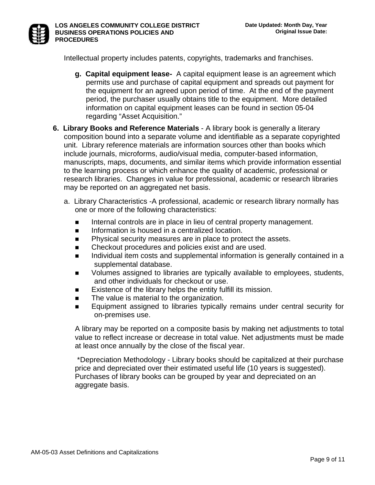

Intellectual property includes patents, copyrights, trademarks and franchises.

- **g. Capital equipment lease-** A capital equipment lease is an agreement which permits use and purchase of capital equipment and spreads out payment for the equipment for an agreed upon period of time. At the end of the payment period, the purchaser usually obtains title to the equipment. More detailed information on capital equipment leases can be found in section 05-04 regarding "Asset Acquisition."
- **6. Library Books and Reference Materials** A library book is generally a literary composition bound into a separate volume and identifiable as a separate copyrighted unit. Library reference materials are information sources other than books which include journals, microforms, audio/visual media, computer-based information, manuscripts, maps, documents, and similar items which provide information essential to the learning process or which enhance the quality of academic, professional or research libraries. Changes in value for professional, academic or research libraries may be reported on an aggregated net basis.
	- a. Library Characteristics -A professional, academic or research library normally has one or more of the following characteristics:
		- **Internal controls are in place in lieu of central property management.**
		- **Information is housed in a centralized location.**
		- **Physical security measures are in place to protect the assets.**
		- Checkout procedures and policies exist and are used.
		- **Individual item costs and supplemental information is generally contained in a** supplemental database.
		- **Nolumes assigned to libraries are typically available to employees, students,** and other individuals for checkout or use.
		- $\blacksquare$  Existence of the library helps the entity fulfill its mission.
		- **The value is material to the organization.**
		- **Equipment assigned to libraries typically remains under central security for** on-premises use.

A library may be reported on a composite basis by making net adjustments to total value to reflect increase or decrease in total value. Net adjustments must be made at least once annually by the close of the fiscal year.

 \* Depreciation Methodology - Library books should be capitalized at their purchase price and depreciated over their estimated useful life (10 years is suggested). Purchases of library books can be grouped by year and depreciated on an aggregate basis.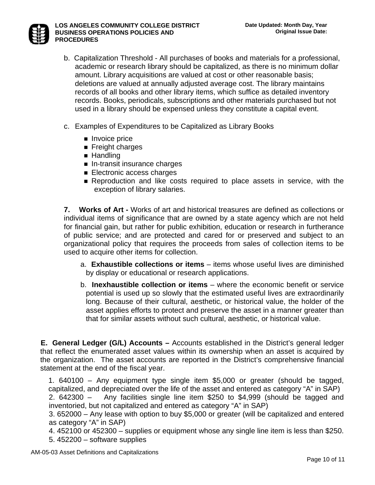

- b. Capitalization Threshold All purchases of books and materials for a professional, academic or research library should be capitalized, as there is no minimum dollar amount. Library acquisitions are valued at cost or other reasonable basis; deletions are valued at annually adjusted average cost. The library maintains records of all books and other library items, which suffice as detailed inventory records. Books, periodicals, subscriptions and other materials purchased but not used in a library should be expensed unless they constitute a capital event.
- c. Examples of Expenditures to be Capitalized as Library Books
	- Invoice price
	- **Filler** Freight charges
	- Handling
	- **In-transit insurance charges**
	- **Electronic access charges**
	- **Reproduction and like costs required to place assets in service, with the** exception of library salaries.

 **7. Works of Art -** Works of art and historical treasures are defined as collections or individual items of significance that are owned by a state agency which are not held for financial gain, but rather for public exhibition, education or research in furtherance of public service; and are protected and cared for or preserved and subject to an organizational policy that requires the proceeds from sales of collection items to be used to acquire other items for collection.

- a. **Exhaustible collections or items**  items whose useful lives are diminished by display or educational or research applications.
- b. **Inexhaustible collection or items** where the economic benefit or service potential is used up so slowly that the estimated useful lives are extraordinarily long. Because of their cultural, aesthetic, or historical value, the holder of the asset applies efforts to protect and preserve the asset in a manner greater than that for similar assets without such cultural, aesthetic, or historical value.

**E. General Ledger (G/L) Accounts –** Accounts established in the District's general ledger that reflect the enumerated asset values within its ownership when an asset is acquired by the organization. The asset accounts are reported in the District's comprehensive financial statement at the end of the fiscal year.

1. 640100 – Any equipment type single item \$5,000 or greater (should be tagged, capitalized, and depreciated over the life of the asset and entered as category "A" in SAP)

2. 642300 – Any facilities single line item \$250 to \$4,999 (should be tagged and inventoried, but not capitalized and entered as category "A" in SAP)

3. 652000 – Any lease with option to buy \$5,000 or greater (will be capitalized and entered as category "A" in SAP)

4. 452100 or 452300 – supplies or equipment whose any single line item is less than \$250. 5. 452200 – software supplies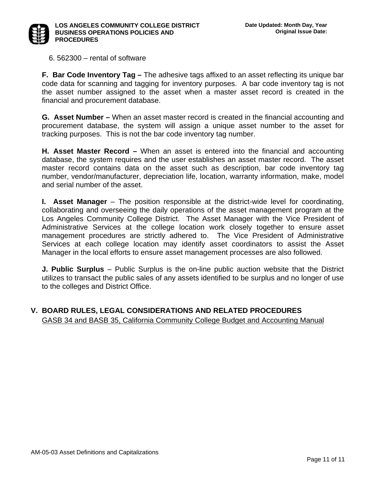

6. 562300 – rental of software

**F. Bar Code Inventory Tag –** The adhesive tags affixed to an asset reflecting its unique bar code data for scanning and tagging for inventory purposes. A bar code inventory tag is not the asset number assigned to the asset when a master asset record is created in the financial and procurement database.

**G. Asset Number –** When an asset master record is created in the financial accounting and procurement database, the system will assign a unique asset number to the asset for tracking purposes. This is not the bar code inventory tag number.

**H. Asset Master Record –** When an asset is entered into the financial and accounting database, the system requires and the user establishes an asset master record. The asset master record contains data on the asset such as description, bar code inventory tag number, vendor/manufacturer, depreciation life, location, warranty information, make, model and serial number of the asset.

**I.** Asset Manager – The position responsible at the district-wide level for coordinating, collaborating and overseeing the daily operations of the asset management program at the Los Angeles Community College District. The Asset Manager with the Vice President of Administrative Services at the college location work closely together to ensure asset management procedures are strictly adhered to. The Vice President of Administrative Services at each college location may identify asset coordinators to assist the Asset Manager in the local efforts to ensure asset management processes are also followed.

**J. Public Surplus** – Public Surplus is the on-line public auction website that the District utilizes to transact the public sales of any assets identified to be surplus and no longer of use to the colleges and District Office.

# **V. BOARD RULES, LEGAL CONSIDERATIONS AND RELATED PROCEDURES**

GASB 34 and BASB 35, California Community College Budget and Accounting Manual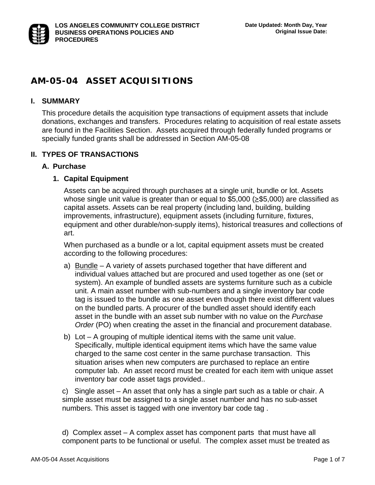# **AM-05-04 ASSET ACQUISITIONS**

# **I. SUMMARY**

This procedure details the acquisition type transactions of equipment assets that include donations, exchanges and transfers. Procedures relating to acquisition of real estate assets are found in the Facilities Section. Assets acquired through federally funded programs or specially funded grants shall be addressed in Section AM-05-08

### **II. TYPES OF TRANSACTIONS**

#### **A. Purchase**

#### **1. Capital Equipment**

Assets can be acquired through purchases at a single unit, bundle or lot. Assets whose single unit value is greater than or equal to  $$5,000$  ( $\geq$ \$5,000) are classified as capital assets. Assets can be real property (including land, building, building improvements, infrastructure), equipment assets (including furniture, fixtures, equipment and other durable/non-supply items), historical treasures and collections of art.

When purchased as a bundle or a lot, capital equipment assets must be created according to the following procedures:

- a) Bundle A variety of assets purchased together that have different and individual values attached but are procured and used together as one (set or system). An example of bundled assets are systems furniture such as a cubicle unit. A main asset number with sub-numbers and a single inventory bar code tag is issued to the bundle as one asset even though there exist different values on the bundled parts. A procurer of the bundled asset should identify each asset in the bundle with an asset sub number with no value on the *Purchase Order* (PO) when creating the asset in the financial and procurement database.
- b) Lot A grouping of multiple identical items with the same unit value. Specifically, multiple identical equipment items which have the same value charged to the same cost center in the same purchase transaction. This situation arises when new computers are purchased to replace an entire computer lab. An asset record must be created for each item with unique asset inventory bar code asset tags provided..

c) Single asset – An asset that only has a single part such as a table or chair. A simple asset must be assigned to a single asset number and has no sub-asset numbers. This asset is tagged with one inventory bar code tag .

d) Complex asset – A complex asset has component parts that must have all component parts to be functional or useful. The complex asset must be treated as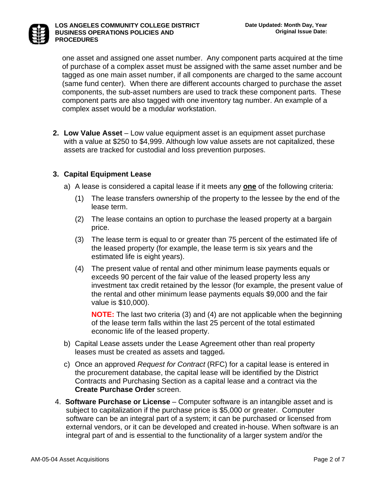

one asset and assigned one asset number. Any component parts acquired at the time of purchase of a complex asset must be assigned with the same asset number and be tagged as one main asset number, if all components are charged to the same account (same fund center). When there are different accounts charged to purchase the asset components, the sub-asset numbers are used to track these component parts. These component parts are also tagged with one inventory tag number. An example of a complex asset would be a modular workstation.

**2. Low Value Asset** – Low value equipment asset is an equipment asset purchase with a value at \$250 to \$4,999. Although low value assets are not capitalized, these assets are tracked for custodial and loss prevention purposes.

# **3. Capital Equipment Lease**

- a) A lease is considered a capital lease if it meets any **one** of the following criteria:
	- (1) The lease transfers ownership of the property to the lessee by the end of the lease term.
	- (2) The lease contains an option to purchase the leased property at a bargain price.
	- (3) The lease term is equal to or greater than 75 percent of the estimated life of the leased property (for example, the lease term is six years and the estimated life is eight years).
	- (4) The present value of rental and other minimum lease payments equals or exceeds 90 percent of the fair value of the leased property less any investment tax credit retained by the lessor (for example, the present value of the rental and other minimum lease payments equals \$9,000 and the fair value is \$10,000).

**NOTE:** The last two criteria (3) and (4) are not applicable when the beginning of the lease term falls within the last 25 percent of the total estimated economic life of the leased property.

- b) Capital Lease assets under the Lease Agreement other than real property leases must be created as assets and tagged.
- c) Once an approved *Request for Contract* (RFC) for a capital lease is entered in the procurement database, the capital lease will be identified by the District Contracts and Purchasing Section as a capital lease and a contract via the **Create Purchase Order** screen.
- 4. **Software Purchase or License** Computer software is an intangible asset and is subject to capitalization if the purchase price is \$5,000 or greater. Computer software can be an integral part of a system; it can be purchased or licensed from external vendors, or it can be developed and created in-house. When software is an integral part of and is essential to the functionality of a larger system and/or the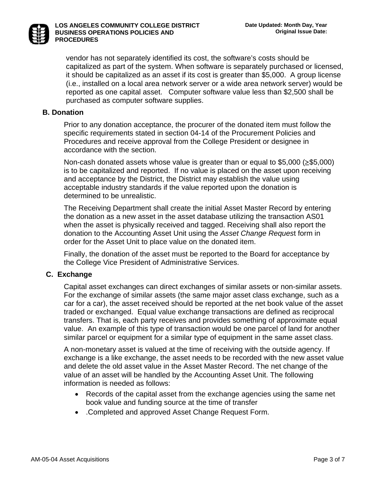

**LOS ANGELES COMMUNITY COLLEGE DISTRICT BUSINESS OPERATIONS POLICIES AND PROCEDURES** 

vendor has not separately identified its cost, the software's costs should be capitalized as part of the system. When software is separately purchased or licensed, it should be capitalized as an asset if its cost is greater than \$5,000. A group license (i.e., installed on a local area network server or a wide area network server) would be reported as one capital asset. Computer software value less than \$2,500 shall be purchased as computer software supplies.

#### **B. Donation**

Prior to any donation acceptance, the procurer of the donated item must follow the specific requirements stated in section 04-14 of the Procurement Policies and Procedures and receive approval from the College President or designee in accordance with the section.

Non-cash donated assets whose value is greater than or equal to \$5,000 (≥\$5,000) is to be capitalized and reported. If no value is placed on the asset upon receiving and acceptance by the District, the District may establish the value using acceptable industry standards if the value reported upon the donation is determined to be unrealistic.

The Receiving Department shall create the initial Asset Master Record by entering the donation as a new asset in the asset database utilizing the transaction AS01 when the asset is physically received and tagged. Receiving shall also report the donation to the Accounting Asset Unit using the *Asset Change Reques*t form in order for the Asset Unit to place value on the donated item.

Finally, the donation of the asset must be reported to the Board for acceptance by the College Vice President of Administrative Services.

#### **C. Exchange**

Capital asset exchanges can direct exchanges of similar assets or non-similar assets. For the exchange of similar assets (the same major asset class exchange, such as a car for a car), the asset received should be reported at the net book value of the asset traded or exchanged. Equal value exchange transactions are defined as reciprocal transfers. That is, each party receives and provides something of approximate equal value. An example of this type of transaction would be one parcel of land for another similar parcel or equipment for a similar type of equipment in the same asset class.

A non-monetary asset is valued at the time of receiving with the outside agency. If exchange is a like exchange, the asset needs to be recorded with the new asset value and delete the old asset value in the Asset Master Record. The net change of the value of an asset will be handled by the Accounting Asset Unit. The following information is needed as follows:

- Records of the capital asset from the exchange agencies using the same net book value and funding source at the time of transfer
- .Completed and approved Asset Change Request Form.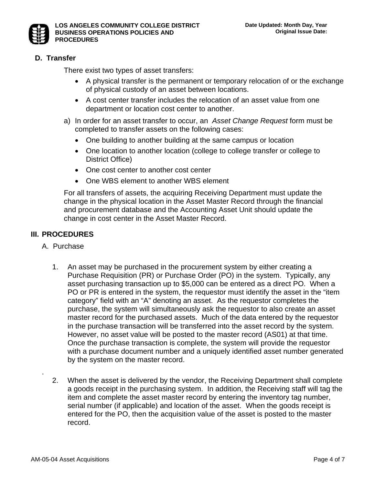

# **D. Transfer**

There exist two types of asset transfers:

- A physical transfer is the permanent or temporary relocation of or the exchange of physical custody of an asset between locations.
- A cost center transfer includes the relocation of an asset value from one department or location cost center to another.
- a) In order for an asset transfer to occur, an *Asset Change Request* form must be completed to transfer assets on the following cases:
	- One building to another building at the same campus or location
	- One location to another location (college to college transfer or college to District Office)
	- One cost center to another cost center
	- One WBS element to another WBS element

For all transfers of assets, the acquiring Receiving Department must update the change in the physical location in the Asset Master Record through the financial and procurement database and the Accounting Asset Unit should update the change in cost center in the Asset Master Record.

# **III. PROCEDURES**

- A. Purchase
	- 1. An asset may be purchased in the procurement system by either creating a Purchase Requisition (PR) or Purchase Order (PO) in the system. Typically, any asset purchasing transaction up to \$5,000 can be entered as a direct PO. When a PO or PR is entered in the system, the requestor must identify the asset in the "item category" field with an "A" denoting an asset. As the requestor completes the purchase, the system will simultaneously ask the requestor to also create an asset master record for the purchased assets. Much of the data entered by the requestor in the purchase transaction will be transferred into the asset record by the system. However, no asset value will be posted to the master record (AS01) at that time. Once the purchase transaction is complete, the system will provide the requestor with a purchase document number and a uniquely identified asset number generated by the system on the master record.
	- 2. When the asset is delivered by the vendor, the Receiving Department shall complete a goods receipt in the purchasing system. In addition, the Receiving staff will tag the item and complete the asset master record by entering the inventory tag number, serial number (if applicable) and location of the asset. When the goods receipt is entered for the PO, then the acquisition value of the asset is posted to the master record.

.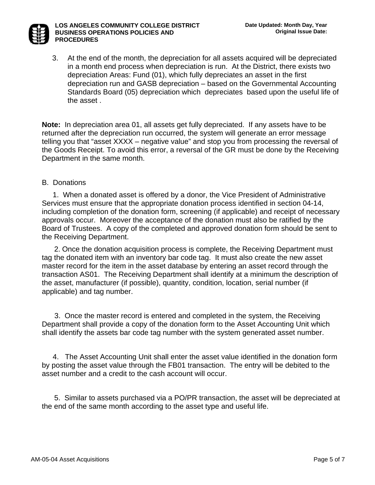

#### **LOS ANGELES COMMUNITY COLLEGE DISTRICT BUSINESS OPERATIONS POLICIES AND PROCEDURES**

3. At the end of the month, the depreciation for all assets acquired will be depreciated in a month end process when depreciation is run. At the District, there exists two depreciation Areas: Fund (01), which fully depreciates an asset in the first depreciation run and GASB depreciation – based on the Governmental Accounting Standards Board (05) depreciation which depreciates based upon the useful life of the asset .

**Note:** In depreciation area 01, all assets get fully depreciated. If any assets have to be returned after the depreciation run occurred, the system will generate an error message telling you that "asset XXXX – negative value" and stop you from processing the reversal of the Goods Receipt. To avoid this error, a reversal of the GR must be done by the Receiving Department in the same month.

#### B. Donations

 1. When a donated asset is offered by a donor, the Vice President of Administrative Services must ensure that the appropriate donation process identified in section 04-14, including completion of the donation form, screening (if applicable) and receipt of necessary approvals occur. Moreover the acceptance of the donation must also be ratified by the Board of Trustees. A copy of the completed and approved donation form should be sent to the Receiving Department.

 2. Once the donation acquisition process is complete, the Receiving Department must tag the donated item with an inventory bar code tag. It must also create the new asset master record for the item in the asset database by entering an asset record through the transaction AS01. The Receiving Department shall identify at a minimum the description of the asset, manufacturer (if possible), quantity, condition, location, serial number (if applicable) and tag number.

 3. Once the master record is entered and completed in the system, the Receiving Department shall provide a copy of the donation form to the Asset Accounting Unit which shall identify the assets bar code tag number with the system generated asset number.

 4. The Asset Accounting Unit shall enter the asset value identified in the donation form by posting the asset value through the FB01 transaction. The entry will be debited to the asset number and a credit to the cash account will occur.

 5. Similar to assets purchased via a PO/PR transaction, the asset will be depreciated at the end of the same month according to the asset type and useful life.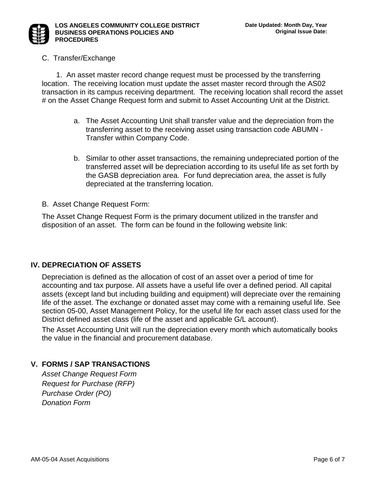

#### C. Transfer/Exchange

 1. An asset master record change request must be processed by the transferring location. The receiving location must update the asset master record through the AS02 transaction in its campus receiving department. The receiving location shall record the asset # on the Asset Change Request form and submit to Asset Accounting Unit at the District.

- a. The Asset Accounting Unit shall transfer value and the depreciation from the transferring asset to the receiving asset using transaction code ABUMN - Transfer within Company Code.
- b. Similar to other asset transactions, the remaining undepreciated portion of the transferred asset will be depreciation according to its useful life as set forth by the GASB depreciation area. For fund depreciation area, the asset is fully depreciated at the transferring location.

B. Asset Change Request Form:

The Asset Change Request Form is the primary document utilized in the transfer and disposition of an asset. The form can be found in the following website link:

#### **IV. DEPRECIATION OF ASSETS**

Depreciation is defined as the allocation of cost of an asset over a period of time for accounting and tax purpose. All assets have a useful life over a defined period. All capital assets (except land but including building and equipment) will depreciate over the remaining life of the asset. The exchange or donated asset may come with a remaining useful life. See section 05-00, Asset Management Policy, for the useful life for each asset class used for the District defined asset class (life of the asset and applicable G/L account).

The Asset Accounting Unit will run the depreciation every month which automatically books the value in the financial and procurement database.

# **V. FORMS / SAP TRANSACTIONS**

*Asset Change Request Form Request for Purchase (RFP) Purchase Order (PO) Donation Form*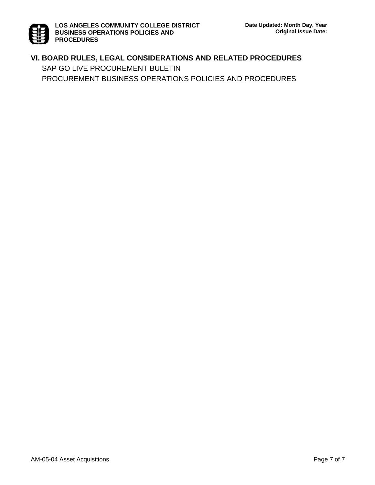# **VI. BOARD RULES, LEGAL CONSIDERATIONS AND RELATED PROCEDURES**  SAP GO LIVE PROCUREMENT BULETIN PROCUREMENT BUSINESS OPERATIONS POLICIES AND PROCEDURES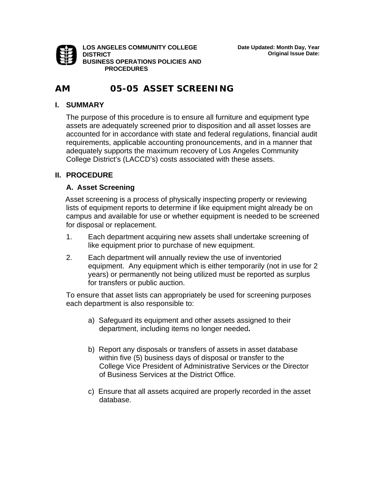

**LOS ANGELES COMMUNITY COLLEGE DISTRICT BUSINESS OPERATIONS POLICIES AND PROCEDURES** 

# **AM 05-05 ASSET SCREENING**

#### **I. SUMMARY**

The purpose of this procedure is to ensure all furniture and equipment type assets are adequately screened prior to disposition and all asset losses are accounted for in accordance with state and federal regulations, financial audit requirements, applicable accounting pronouncements, and in a manner that adequately supports the maximum recovery of Los Angeles Community College District's (LACCD's) costs associated with these assets.

# **II. PROCEDURE**

### **A. Asset Screening**

 Asset screening is a process of physically inspecting property or reviewing lists of equipment reports to determine if like equipment might already be on campus and available for use or whether equipment is needed to be screened for disposal or replacement.

- 1. Each department acquiring new assets shall undertake screening of like equipment prior to purchase of new equipment.
- 2. Each department will annually review the use of inventoried equipment. Any equipment which is either temporarily (not in use for 2 years) or permanently not being utilized must be reported as surplus for transfers or public auction.

 To ensure that asset lists can appropriately be used for screening purposes each department is also responsible to:

- a) Safeguard its equipment and other assets assigned to their department, including items no longer needed**.**
- b) Report any disposals or transfers of assets in asset database within five (5) business days of disposal or transfer to the College Vice President of Administrative Services or the Director of Business Services at the District Office.
- c) Ensure that all assets acquired are properly recorded in the asset database.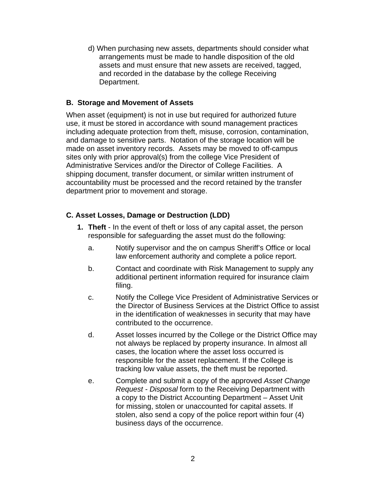d) When purchasing new assets, departments should consider what arrangements must be made to handle disposition of the old assets and must ensure that new assets are received, tagged, and recorded in the database by the college Receiving Department.

## **B. Storage and Movement of Assets**

When asset (equipment) is not in use but required for authorized future use, it must be stored in accordance with sound management practices including adequate protection from theft, misuse, corrosion, contamination, and damage to sensitive parts. Notation of the storage location will be made on asset inventory records. Assets may be moved to off-campus sites only with prior approval(s) from the college Vice President of Administrative Services and/or the Director of College Facilities. A shipping document, transfer document, or similar written instrument of accountability must be processed and the record retained by the transfer department prior to movement and storage.

# **C. Asset Losses, Damage or Destruction (LDD)**

- **1. Theft**  In the event of theft or loss of any capital asset, the person responsible for safeguarding the asset must do the following:
	- a. Notify supervisor and the on campus Sheriff's Office or local law enforcement authority and complete a police report.
	- b. Contact and coordinate with Risk Management to supply any additional pertinent information required for insurance claim filing.
	- c. Notify the College Vice President of Administrative Services or the Director of Business Services at the District Office to assist in the identification of weaknesses in security that may have contributed to the occurrence.
	- d. Asset losses incurred by the College or the District Office may not always be replaced by property insurance. In almost all cases, the location where the asset loss occurred is responsible for the asset replacement. If the College is tracking low value assets, the theft must be reported.
	- e. Complete and submit a copy of the approved *Asset Change Request - Disposal* form to the Receiving Department with a copy to the District Accounting Department – Asset Unit for missing, stolen or unaccounted for capital assets. If stolen, also send a copy of the police report within four (4) business days of the occurrence.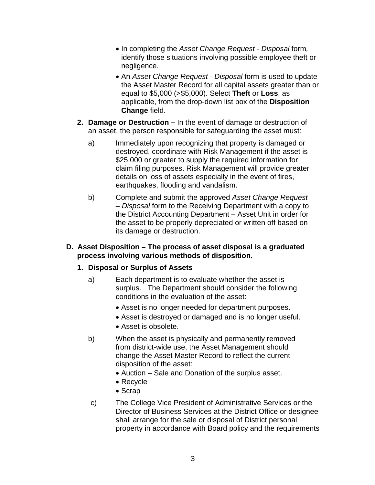- In completing the *Asset Change Request Disposal* form*,* identify those situations involving possible employee theft or negligence.
- An *Asset Change Request Disposal* form is used to update the Asset Master Record for all capital assets greater than or equal to \$5,000 (≥\$5,000). Select **Theft** or **Loss**, as applicable, from the drop-down list box of the **Disposition Change** field.
- **2. Damage or Destruction** In the event of damage or destruction of an asset, the person responsible for safeguarding the asset must:
	- a) Immediately upon recognizing that property is damaged or destroyed, coordinate with Risk Management if the asset is \$25,000 or greater to supply the required information for claim filing purposes. Risk Management will provide greater details on loss of assets especially in the event of fires, earthquakes, flooding and vandalism.
	- b) Complete and submit the approved *Asset Change Request* – *Disposal* form to the Receiving Department with a copy to the District Accounting Department – Asset Unit in order for the asset to be properly depreciated or written off based on its damage or destruction.

## **D. Asset Disposition – The process of asset disposal is a graduated process involving various methods of disposition.**

# **1. Disposal or Surplus of Assets**

- a) Each department is to evaluate whether the asset is surplus. The Department should consider the following conditions in the evaluation of the asset:
	- Asset is no longer needed for department purposes.
	- Asset is destroyed or damaged and is no longer useful.
	- Asset is obsolete.
- b) When the asset is physically and permanently removed from district-wide use, the Asset Management should change the Asset Master Record to reflect the current disposition of the asset:
	- Auction Sale and Donation of the surplus asset.
	- Recycle
	- Scrap
- c) The College Vice President of Administrative Services or the Director of Business Services at the District Office or designee shall arrange for the sale or disposal of District personal property in accordance with Board policy and the requirements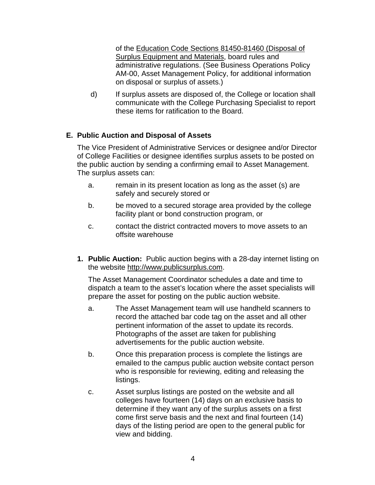of the [Education Code Sections 81450-81460 \(Disposal of](http://caselaw.lp.findlaw.com/cacodes/edc/81450-81460.html)  [Surplus Equipment and Materials,](http://caselaw.lp.findlaw.com/cacodes/edc/81450-81460.html) board rules and administrative regulations. (See Business Operations Policy AM-00, Asset Management Policy, for additional information on disposal or surplus of assets.)

d) If surplus assets are disposed of, the College or location shall communicate with the College Purchasing Specialist to report these items for ratification to the Board.

# **E. Public Auction and Disposal of Assets**

The Vice President of Administrative Services or designee and/or Director of College Facilities or designee identifies surplus assets to be posted on the public auction by sending a confirming email to Asset Management. The surplus assets can:

- a. remain in its present location as long as the asset (s) are safely and securely stored or
- b. be moved to a secured storage area provided by the college facility plant or bond construction program, or
- c. contact the district contracted movers to move assets to an offsite warehouse
- **1. Public Auction:** Public auction begins with a 28-day internet listing on the website [http://www.publicsurplus.com](http://www.publicsurplus.com/).

The Asset Management Coordinator schedules a date and time to dispatch a team to the asset's location where the asset specialists will prepare the asset for posting on the public auction website.

- a. The Asset Management team will use handheld scanners to record the attached bar code tag on the asset and all other pertinent information of the asset to update its records. Photographs of the asset are taken for publishing advertisements for the public auction website.
- b. Once this preparation process is complete the listings are emailed to the campus public auction website contact person who is responsible for reviewing, editing and releasing the listings.
- c. Asset surplus listings are posted on the website and all colleges have fourteen (14) days on an exclusive basis to determine if they want any of the surplus assets on a first come first serve basis and the next and final fourteen (14) days of the listing period are open to the general public for view and bidding.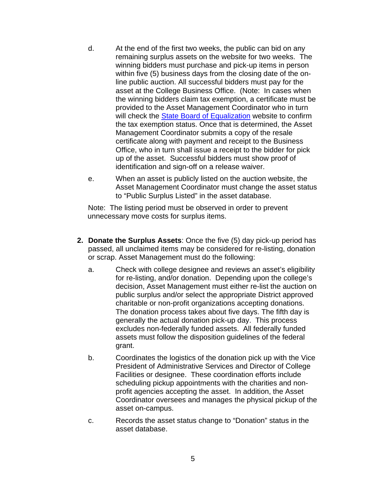- d. At the end of the first two weeks, the public can bid on any remaining surplus assets on the website for two weeks. The winning bidders must purchase and pick-up items in person within five (5) business days from the closing date of the online public auction. All successful bidders must pay for the asset at the College Business Office. (Note: In cases when the winning bidders claim tax exemption, a certificate must be provided to the Asset Management Coordinator who in turn will check the [State Board of Equalization](https://efile.boe.ca.gov/boewebservices/verification.jsp?action=SALES) website to confirm the tax exemption status. Once that is determined, the Asset Management Coordinator submits a copy of the resale certificate along with payment and receipt to the Business Office, who in turn shall issue a receipt to the bidder for pick up of the asset. Successful bidders must show proof of identification and sign-off on a release waiver.
- e. When an asset is publicly listed on the auction website, the Asset Management Coordinator must change the asset status to "Public Surplus Listed" in the asset database.

Note: The listing period must be observed in order to prevent unnecessary move costs for surplus items.

- **2. Donate the Surplus Assets**: Once the five (5) day pick-up period has passed, all unclaimed items may be considered for re-listing, donation or scrap. Asset Management must do the following:
	- a. Check with college designee and reviews an asset's eligibility for re-listing, and/or donation. Depending upon the college's decision, Asset Management must either re-list the auction on public surplus and/or select the appropriate District approved charitable or non-profit organizations accepting donations. The donation process takes about five days. The fifth day is generally the actual donation pick-up day. This process excludes non-federally funded assets. All federally funded assets must follow the disposition guidelines of the federal grant.
	- b. Coordinates the logistics of the donation pick up with the Vice President of Administrative Services and Director of College Facilities or designee. These coordination efforts include scheduling pickup appointments with the charities and nonprofit agencies accepting the asset. In addition, the Asset Coordinator oversees and manages the physical pickup of the asset on-campus.
	- c. Records the asset status change to "Donation" status in the asset database.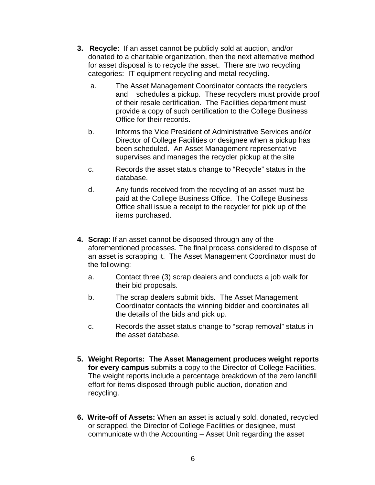- **3. Recycle:** If an asset cannot be publicly sold at auction, and/or donated to a charitable organization, then the next alternative method for asset disposal is to recycle the asset. There are two recycling categories: IT equipment recycling and metal recycling.
	- a. The Asset Management Coordinator contacts the recyclers and schedules a pickup. These recyclers must provide proof of their resale certification. The Facilities department must provide a copy of such certification to the College Business Office for their records.
	- b. Informs the Vice President of Administrative Services and/or Director of College Facilities or designee when a pickup has been scheduled. An Asset Management representative supervises and manages the recycler pickup at the site
	- c. Records the asset status change to "Recycle" status in the database.
	- d. Any funds received from the recycling of an asset must be paid at the College Business Office. The College Business Office shall issue a receipt to the recycler for pick up of the items purchased.
- **4. Scrap**: If an asset cannot be disposed through any of the aforementioned processes. The final process considered to dispose of an asset is scrapping it. The Asset Management Coordinator must do the following:
	- a. Contact three (3) scrap dealers and conducts a job walk for their bid proposals.
	- b. The scrap dealers submit bids. The Asset Management Coordinator contacts the winning bidder and coordinates all the details of the bids and pick up.
	- c. Records the asset status change to "scrap removal" status in the asset database.
- **5. Weight Reports: The Asset Management produces weight reports for every campus** submits a copy to the Director of College Facilities. The weight reports include a percentage breakdown of the zero landfill effort for items disposed through public auction, donation and recycling.
- **6. Write-off of Assets:** When an asset is actually sold, donated, recycled or scrapped, the Director of College Facilities or designee, must communicate with the Accounting – Asset Unit regarding the asset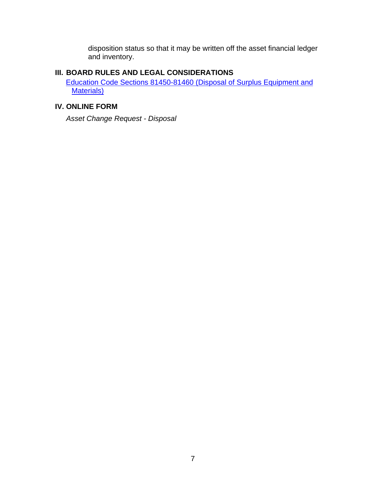disposition status so that it may be written off the asset financial ledger and inventory.

# **III. BOARD RULES AND LEGAL CONSIDERATIONS**

[Education Code Sections 81450-81460 \(Disposal of Surplus Equipment and](http://caselaw.lp.findlaw.com/cacodes/edc/81450-81460.html)  [Materials\)](http://caselaw.lp.findlaw.com/cacodes/edc/81450-81460.html)

# **IV. ONLINE FORM**

*Asset Change Request - Disposal*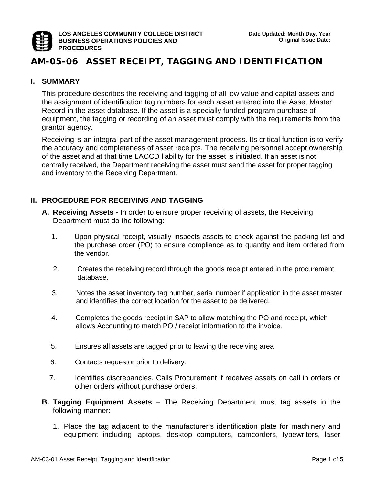

# **AM-05-06 ASSET RECEIPT, TAGGING AND IDENTIFICATION**

#### **I. SUMMARY**

This procedure describes the receiving and tagging of all low value and capital assets and the assignment of identification tag numbers for each asset entered into the Asset Master Record in the asset database. If the asset is a specially funded program purchase of equipment, the tagging or recording of an asset must comply with the requirements from the grantor agency.

Receiving is an integral part of the asset management process. Its critical function is to verify the accuracy and completeness of asset receipts. The receiving personnel accept ownership of the asset and at that time LACCD liability for the asset is initiated. If an asset is not centrally received, the Department receiving the asset must send the asset for proper tagging and inventory to the Receiving Department.

#### **II. PROCEDURE FOR RECEIVING AND TAGGING**

- **A. Receiving Assets**  In order to ensure proper receiving of assets, the Receiving Department must do the following:
	- 1. Upon physical receipt, visually inspects assets to check against the packing list and the purchase order (PO) to ensure compliance as to quantity and item ordered from the vendor.
	- 2. Creates the receiving record through the goods receipt entered in the procurement database.
	- 3. Notes the asset inventory tag number, serial number if application in the asset master and identifies the correct location for the asset to be delivered.
	- 4. Completes the goods receipt in SAP to allow matching the PO and receipt, which allows Accounting to match PO / receipt information to the invoice.
	- 5. Ensures all assets are tagged prior to leaving the receiving area
	- 6. Contacts requestor prior to delivery.
	- 7. Identifies discrepancies. Calls Procurement if receives assets on call in orders or other orders without purchase orders.
- **B. Tagging Equipment Assets** The Receiving Department must tag assets in the following manner:
	- 1. Place the tag adjacent to the manufacturer's identification plate for machinery and equipment including laptops, desktop computers, camcorders, typewriters, laser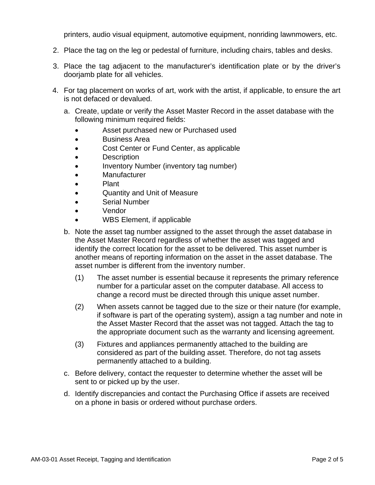printers, audio visual equipment, automotive equipment, nonriding lawnmowers, etc.

- 2. Place the tag on the leg or pedestal of furniture, including chairs, tables and desks.
- 3. Place the tag adjacent to the manufacturer's identification plate or by the driver's doorjamb plate for all vehicles.
- 4. For tag placement on works of art, work with the artist, if applicable, to ensure the art is not defaced or devalued.
	- a. Create, update or verify the Asset Master Record in the asset database with the following minimum required fields:
		- Asset purchased new or Purchased used
		- Business Area
		- Cost Center or Fund Center, as applicable
		- Description
		- Inventory Number (inventory tag number)
		- **Manufacturer**
		- Plant
		- Quantity and Unit of Measure
		- Serial Number
		- Vendor
		- WBS Element, if applicable
	- b. Note the asset tag number assigned to the asset through the asset database in the Asset Master Record regardless of whether the asset was tagged and identify the correct location for the asset to be delivered. This asset number is another means of reporting information on the asset in the asset database. The asset number is different from the inventory number.
		- (1) The asset number is essential because it represents the primary reference number for a particular asset on the computer database. All access to change a record must be directed through this unique asset number.
		- (2) When assets cannot be tagged due to the size or their nature (for example, if software is part of the operating system), assign a tag number and note in the Asset Master Record that the asset was not tagged. Attach the tag to the appropriate document such as the warranty and licensing agreement.
		- (3) Fixtures and appliances permanently attached to the building are considered as part of the building asset. Therefore, do not tag assets permanently attached to a building.
	- c. Before delivery, contact the requester to determine whether the asset will be sent to or picked up by the user.
	- d. Identify discrepancies and contact the Purchasing Office if assets are received on a phone in basis or ordered without purchase orders.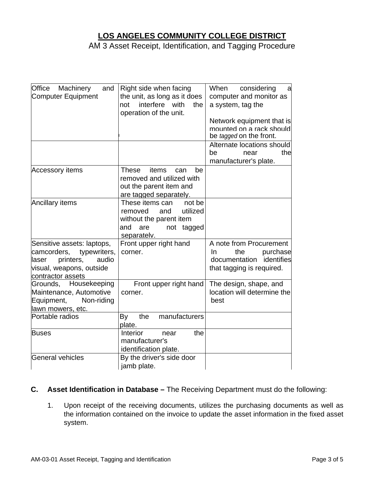# **LOS ANGELES COMMUNITY COLLEGE DISTRICT**

AM 3 Asset Receipt, Identification, and Tagging Procedure

| Office Machinery<br>and<br>Computer Equipment                                                                                             | Right side when facing<br>the unit, as long as it does<br>interfere with<br>not<br>the<br>operation of the unit.              | When considering<br>a<br>computer and monitor as<br>a system, tag the                                        |
|-------------------------------------------------------------------------------------------------------------------------------------------|-------------------------------------------------------------------------------------------------------------------------------|--------------------------------------------------------------------------------------------------------------|
|                                                                                                                                           |                                                                                                                               | Network equipment that is<br>mounted on a rack should<br>be tagged on the front.                             |
|                                                                                                                                           |                                                                                                                               | Alternate locations should<br>the<br>be<br>near<br>manufacturer's plate.                                     |
| <b>Accessory items</b>                                                                                                                    | <b>These</b><br>items<br>be<br>can<br>removed and utilized with<br>out the parent item and<br>are tagged separately.          |                                                                                                              |
| <b>Ancillary items</b>                                                                                                                    | These items can<br>not be<br>utilized<br>removed<br>and<br>without the parent item<br>and<br>are<br>not tagged<br>separately. |                                                                                                              |
| Sensitive assets: laptops,<br>camcorders,<br>typewriters,<br>printers,<br>audio<br>laser<br>visual, weapons, outside<br>contractor assets | Front upper right hand<br>corner.                                                                                             | A note from Procurement<br>In<br>the<br>purchase<br>identifies<br>documentation<br>that tagging is required. |
| Grounds, Housekeeping<br>Maintenance, Automotive<br>Equipment,<br>Non-riding<br>lawn mowers, etc.                                         | Front upper right hand<br>corner.                                                                                             | The design, shape, and<br>location will determine the<br>best                                                |
| Portable radios                                                                                                                           | manufacturers<br>the<br>By<br>plate.                                                                                          |                                                                                                              |
| <b>Buses</b>                                                                                                                              | Interior<br>the<br>near<br>manufacturer's<br>identification plate.                                                            |                                                                                                              |
| General vehicles                                                                                                                          | By the driver's side door<br>jamb plate.                                                                                      |                                                                                                              |

#### **C. Asset Identification in Database –** The Receiving Department must do the following:

1. Upon receipt of the receiving documents, utilizes the purchasing documents as well as the information contained on the invoice to update the asset information in the fixed asset system.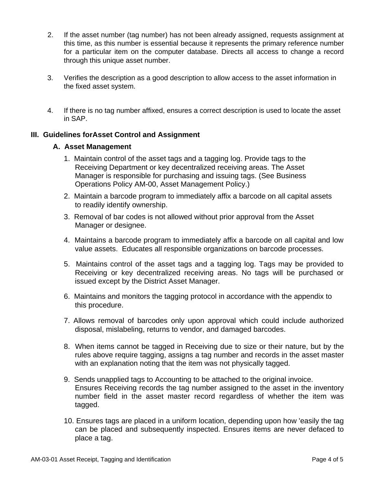- 2. If the asset number (tag number) has not been already assigned, requests assignment at this time, as this number is essential because it represents the primary reference number for a particular item on the computer database. Directs all access to change a record through this unique asset number.
- 3. Verifies the description as a good description to allow access to the asset information in the fixed asset system.
- 4. If there is no tag number affixed, ensures a correct description is used to locate the asset in SAP.

#### **III. Guidelines forAsset Control and Assignment**

#### **A. Asset Management**

- 1. Maintain control of the asset tags and a tagging log. Provide tags to the Receiving Department or key decentralized receiving areas. The Asset Manager is responsible for purchasing and issuing tags. (See Business Operations Policy AM-00, Asset Management Policy.)
- 2. Maintain a barcode program to immediately affix a barcode on all capital assets to readily identify ownership.
- 3. Removal of bar codes is not allowed without prior approval from the Asset Manager or designee.
- 4. Maintains a barcode program to immediately affix a barcode on all capital and low value assets. Educates all responsible organizations on barcode processes.
- 5. Maintains control of the asset tags and a tagging log. Tags may be provided to Receiving or key decentralized receiving areas. No tags will be purchased or issued except by the District Asset Manager.
- 6. Maintains and monitors the tagging protocol in accordance with the appendix to this procedure.
- 7. Allows removal of barcodes only upon approval which could include authorized disposal, mislabeling, returns to vendor, and damaged barcodes.
- 8. When items cannot be tagged in Receiving due to size or their nature, but by the rules above require tagging, assigns a tag number and records in the asset master with an explanation noting that the item was not physically tagged.
- 9. Sends unapplied tags to Accounting to be attached to the original invoice. Ensures Receiving records the tag number assigned to the asset in the inventory number field in the asset master record regardless of whether the item was tagged.
- 10. Ensures tags are placed in a uniform location, depending upon how 'easily the tag can be placed and subsequently inspected. Ensures items are never defaced to place a tag.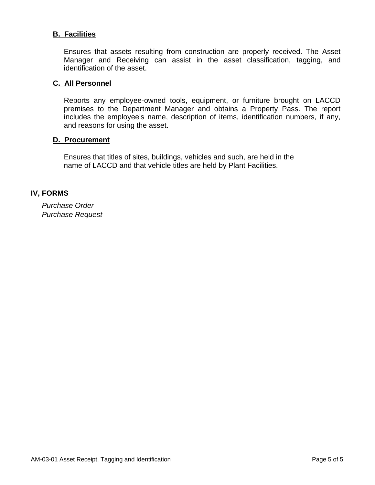#### **B. Facilities**

Ensures that assets resulting from construction are properly received. The Asset Manager and Receiving can assist in the asset classification, tagging, and identification of the asset.

#### **C. All Personnel**

Reports any employee-owned tools, equipment, or furniture brought on LACCD premises to the Department Manager and obtains a Property Pass. The report includes the employee's name, description of items, identification numbers, if any, and reasons for using the asset.

#### **D. Procurement**

Ensures that titles of sites, buildings, vehicles and such, are held in the name of LACCD and that vehicle titles are held by Plant Facilities.

#### **IV, FORMS**

*Purchase Order Purchase Request*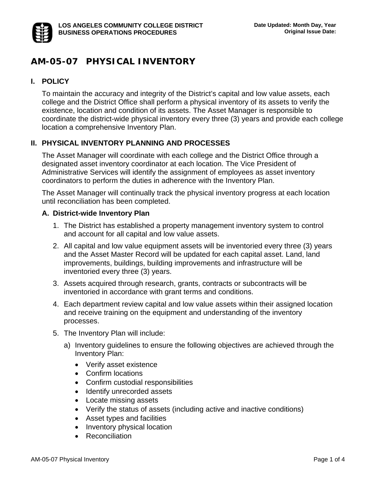

# **AM-05-07 PHYSICAL INVENTORY**

# **I. POLICY**

To maintain the accuracy and integrity of the District's capital and low value assets, each college and the District Office shall perform a physical inventory of its assets to verify the existence, location and condition of its assets. The Asset Manager is responsible to coordinate the district-wide physical inventory every three (3) years and provide each college location a comprehensive Inventory Plan.

# **II. PHYSICAL INVENTORY PLANNING AND PROCESSES**

The Asset Manager will coordinate with each college and the District Office through a designated asset inventory coordinator at each location. The Vice President of Administrative Services will identify the assignment of employees as asset inventory coordinators to perform the duties in adherence with the Inventory Plan.

The Asset Manager will continually track the physical inventory progress at each location until reconciliation has been completed.

### **A. District-wide Inventory Plan**

- 1. The District has established a property management inventory system to control and account for all capital and low value assets.
- 2. All capital and low value equipment assets will be inventoried every three (3) years and the Asset Master Record will be updated for each capital asset. Land, land improvements, buildings, building improvements and infrastructure will be inventoried every three (3) years.
- 3. Assets acquired through research, grants, contracts or subcontracts will be inventoried in accordance with grant terms and conditions.
- 4. Each department review capital and low value assets within their assigned location and receive training on the equipment and understanding of the inventory processes.
- 5. The Inventory Plan will include:
	- a) Inventory guidelines to ensure the following objectives are achieved through the Inventory Plan:
		- Verify asset existence
		- Confirm locations
		- Confirm custodial responsibilities
		- Identify unrecorded assets
		- Locate missing assets
		- Verify the status of assets (including active and inactive conditions)
		- Asset types and facilities
		- Inventory physical location
		- Reconciliation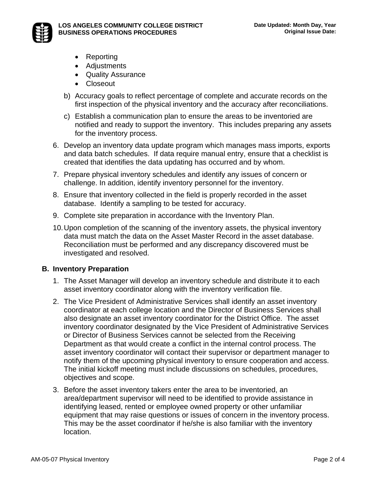

- Reporting
- Adjustments
- Quality Assurance
- Closeout
- b) Accuracy goals to reflect percentage of complete and accurate records on the first inspection of the physical inventory and the accuracy after reconciliations.
- c) Establish a communication plan to ensure the areas to be inventoried are notified and ready to support the inventory. This includes preparing any assets for the inventory process.
- 6. Develop an inventory data update program which manages mass imports, exports and data batch schedules. If data require manual entry, ensure that a checklist is created that identifies the data updating has occurred and by whom.
- 7. Prepare physical inventory schedules and identify any issues of concern or challenge. In addition, identify inventory personnel for the inventory.
- 8. Ensure that inventory collected in the field is properly recorded in the asset database. Identify a sampling to be tested for accuracy.
- 9. Complete site preparation in accordance with the Inventory Plan.
- 10. Upon completion of the scanning of the inventory assets, the physical inventory data must match the data on the Asset Master Record in the asset database. Reconciliation must be performed and any discrepancy discovered must be investigated and resolved.

#### **B. Inventory Preparation**

- 1. The Asset Manager will develop an inventory schedule and distribute it to each asset inventory coordinator along with the inventory verification file.
- 2. The Vice President of Administrative Services shall identify an asset inventory coordinator at each college location and the Director of Business Services shall also designate an asset inventory coordinator for the District Office. The asset inventory coordinator designated by the Vice President of Administrative Services or Director of Business Services cannot be selected from the Receiving Department as that would create a conflict in the internal control process. The asset inventory coordinator will contact their supervisor or department manager to notify them of the upcoming physical inventory to ensure cooperation and access. The initial kickoff meeting must include discussions on schedules, procedures, objectives and scope.
- 3. Before the asset inventory takers enter the area to be inventoried, an area/department supervisor will need to be identified to provide assistance in identifying leased, rented or employee owned property or other unfamiliar equipment that may raise questions or issues of concern in the inventory process. This may be the asset coordinator if he/she is also familiar with the inventory location.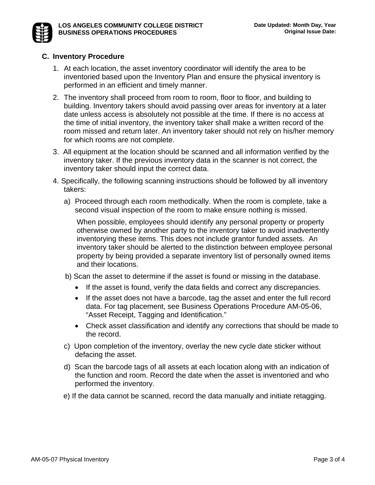### **C. Inventory Procedure**

- 1. At each location, the asset inventory coordinator will identify the area to be inventoried based upon the Inventory Plan and ensure the physical inventory is performed in an efficient and timely manner.
- 2. The inventory shall proceed from room to room, floor to floor, and building to building. Inventory takers should avoid passing over areas for inventory at a later date unless access is absolutely not possible at the time. If there is no access at the time of initial inventory, the inventory taker shall make a written record of the room missed and return later. An inventory taker should not rely on his/her memory for which rooms are not complete.
- 3. All equipment at the location should be scanned and all information verified by the inventory taker. If the previous inventory data in the scanner is not correct, the inventory taker should input the correct data.
- 4.Specifically, the following scanning instructions should be followed by all inventory takers:
	- a) Proceed through each room methodically. When the room is complete, take a second visual inspection of the room to make ensure nothing is missed.

When possible, employees should identify any personal property or property otherwise owned by another party to the inventory taker to avoid inadvertently inventorying these items. This does not include grantor funded assets. An inventory taker should be alerted to the distinction between employee personal property by being provided a separate inventory list of personally owned items and their locations.

- b) Scan the asset to determine if the asset is found or missing in the database.
	- If the asset is found, verify the data fields and correct any discrepancies.
	- If the asset does not have a barcode, tag the asset and enter the full record data. For tag placement, see Business Operations Procedure AM-05-06, "Asset Receipt, Tagging and Identification."
	- Check asset classification and identify any corrections that should be made to the record.
- c) Upon completion of the inventory, overlay the new cycle date sticker without defacing the asset.
- d) Scan the barcode tags of all assets at each location along with an indication of the function and room. Record the date when the asset is inventoried and who performed the inventory.
- e) If the data cannot be scanned, record the data manually and initiate retagging.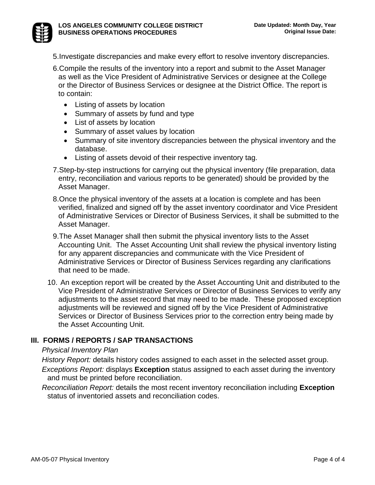

- 6. Compile the results of the inventory into a report and submit to the Asset Manager as well as the Vice President of Administrative Services or designee at the College or the Director of Business Services or designee at the District Office. The report is to contain:
	- Listing of assets by location
	- Summary of assets by fund and type
	- List of assets by location
	- Summary of asset values by location
	- Summary of site inventory discrepancies between the physical inventory and the database.
	- Listing of assets devoid of their respective inventory tag.
- 7. Step-by-step instructions for carrying out the physical inventory (file preparation, data entry, reconciliation and various reports to be generated) should be provided by the Asset Manager.
- 8. Once the physical inventory of the assets at a location is complete and has been verified, finalized and signed off by the asset inventory coordinator and Vice President of Administrative Services or Director of Business Services, it shall be submitted to the Asset Manager.
- 9. The Asset Manager shall then submit the physical inventory lists to the Asset Accounting Unit. The Asset Accounting Unit shall review the physical inventory listing for any apparent discrepancies and communicate with the Vice President of Administrative Services or Director of Business Services regarding any clarifications that need to be made.
- 10. An exception report will be created by the Asset Accounting Unit and distributed to the Vice President of Administrative Services or Director of Business Services to verify any adjustments to the asset record that may need to be made. These proposed exception adjustments will be reviewed and signed off by the Vice President of Administrative Services or Director of Business Services prior to the correction entry being made by the Asset Accounting Unit.

# **III. FORMS / REPORTS / SAP TRANSACTIONS**

#### *Physical Inventory Plan*

*History Report:* details history codes assigned to each asset in the selected asset group. *Exceptions Report:* displays **Exception** status assigned to each asset during the inventory and must be printed before reconciliation.

*Reconciliation Report:* details the most recent inventory reconciliation including **Exception** status of inventoried assets and reconciliation codes.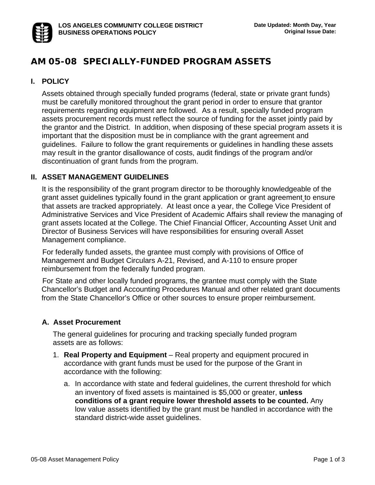# **AM 05-08 SPECIALLY-FUNDED PROGRAM ASSETS**

# **I. POLICY**

Assets obtained through specially funded programs (federal, state or private grant funds) must be carefully monitored throughout the grant period in order to ensure that grantor requirements regarding equipment are followed. As a result, specially funded program assets procurement records must reflect the source of funding for the asset jointly paid by the grantor and the District. In addition, when disposing of these special program assets it is important that the disposition must be in compliance with the grant agreement and guidelines. Failure to follow the grant requirements or guidelines in handling these assets may result in the grantor disallowance of costs, audit findings of the program and/or discontinuation of grant funds from the program.

### **II. ASSET MANAGEMENT GUIDELINES**

It is the responsibility of the grant program director to be thoroughly knowledgeable of the grant asset guidelines typically found in the grant application or grant agreement to ensure that assets are tracked appropriately. At least once a year, the College Vice President of Administrative Services and Vice President of Academic Affairs shall review the managing of grant assets located at the College. The Chief Financial Officer, Accounting Asset Unit and Director of Business Services will have responsibilities for ensuring overall Asset Management compliance.

For federally funded assets, the grantee must comply with provisions of Office of Management and Budget Circulars A-21, Revised, and A-110 to ensure proper reimbursement from the federally funded program.

For State and other locally funded programs, the grantee must comply with the State Chancellor's Budget and Accounting Procedures Manual and other related grant documents from the State Chancellor's Office or other sources to ensure proper reimbursement.

#### **A. Asset Procurement**

The general guidelines for procuring and tracking specially funded program assets are as follows:

- 1. **Real Property and Equipment** Real property and equipment procured in accordance with grant funds must be used for the purpose of the Grant in accordance with the following:
	- a. In accordance with state and federal guidelines, the current threshold for which an inventory of fixed assets is maintained is \$5,000 or greater, **unless conditions of a grant require lower threshold assets to be counted.** Any low value assets identified by the grant must be handled in accordance with the standard district-wide asset guidelines.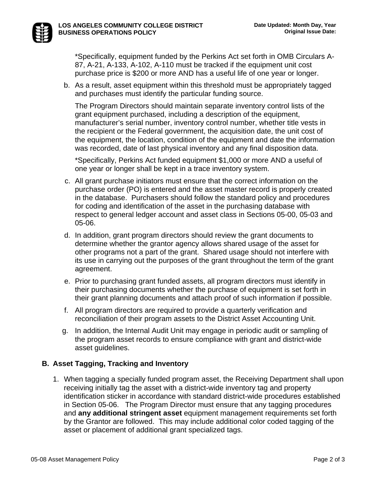\*Specifically, equipment funded by the Perkins Act set forth in OMB Circulars A-87, A-21, A-133, A-102, A-110 must be tracked if the equipment unit cost purchase price is \$200 or more AND has a useful life of one year or longer.

b. As a result, asset equipment within this threshold must be appropriately tagged and purchases must identify the particular funding source.

The Program Directors should maintain separate inventory control lists of the grant equipment purchased, including a description of the equipment, manufacturer's serial number, inventory control number, whether title vests in the recipient or the Federal government, the acquisition date, the unit cost of the equipment, the location, condition of the equipment and date the information was recorded, date of last physical inventory and any final disposition data.

\*Specifically, Perkins Act funded equipment \$1,000 or more AND a useful of one year or longer shall be kept in a trace inventory system.

- c. All grant purchase initiators must ensure that the correct information on the purchase order (PO) is entered and the asset master record is properly created in the database. Purchasers should follow the standard policy and procedures for coding and identification of the asset in the purchasing database with respect to general ledger account and asset class in Sections 05-00, 05-03 and 05-06.
- d. In addition, grant program directors should review the grant documents to determine whether the grantor agency allows shared usage of the asset for other programs not a part of the grant. Shared usage should not interfere with its use in carrying out the purposes of the grant throughout the term of the grant agreement.
- e. Prior to purchasing grant funded assets, all program directors must identify in their purchasing documents whether the purchase of equipment is set forth in their grant planning documents and attach proof of such information if possible.
- f. All program directors are required to provide a quarterly verification and reconciliation of their program assets to the District Asset Accounting Unit.
- g. In addition, the Internal Audit Unit may engage in periodic audit or sampling of the program asset records to ensure compliance with grant and district-wide asset guidelines.

# **B. Asset Tagging, Tracking and Inventory**

1. When tagging a specially funded program asset, the Receiving Department shall upon receiving initially tag the asset with a district-wide inventory tag and property identification sticker in accordance with standard district-wide procedures established in Section 05-06. The Program Director must ensure that any tagging procedures and **any additional stringent asset** equipment management requirements set forth by the Grantor are followed. This may include additional color coded tagging of the asset or placement of additional grant specialized tags.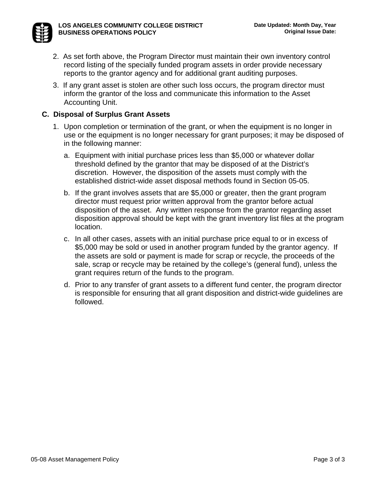

- 2. As set forth above, the Program Director must maintain their own inventory control record listing of the specially funded program assets in order provide necessary reports to the grantor agency and for additional grant auditing purposes.
- 3. If any grant asset is stolen are other such loss occurs, the program director must inform the grantor of the loss and communicate this information to the Asset Accounting Unit.

# **C. Disposal of Surplus Grant Assets**

- 1. Upon completion or termination of the grant, or when the equipment is no longer in use or the equipment is no longer necessary for grant purposes; it may be disposed of in the following manner:
	- a. Equipment with initial purchase prices less than \$5,000 or whatever dollar threshold defined by the grantor that may be disposed of at the District's discretion. However, the disposition of the assets must comply with the established district-wide asset disposal methods found in Section 05-05.
	- b. If the grant involves assets that are \$5,000 or greater, then the grant program director must request prior written approval from the grantor before actual disposition of the asset. Any written response from the grantor regarding asset disposition approval should be kept with the grant inventory list files at the program location.
	- c. In all other cases, assets with an initial purchase price equal to or in excess of \$5,000 may be sold or used in another program funded by the grantor agency. If the assets are sold or payment is made for scrap or recycle, the proceeds of the sale, scrap or recycle may be retained by the college's (general fund), unless the grant requires return of the funds to the program.
	- d. Prior to any transfer of grant assets to a different fund center, the program director is responsible for ensuring that all grant disposition and district-wide guidelines are followed.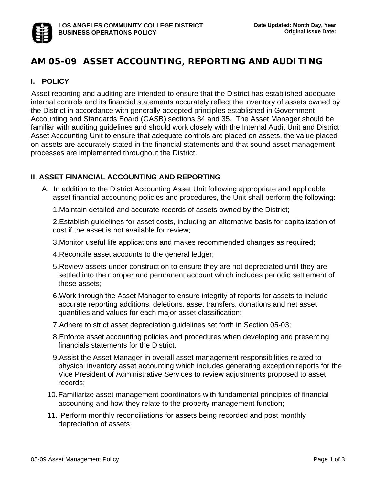# **AM 05-09 ASSET ACCOUNTING, REPORTING AND AUDITING**

## **I. POLICY**

 Asset reporting and auditing are intended to ensure that the District has established adequate internal controls and its financial statements accurately reflect the inventory of assets owned by the District in accordance with generally accepted principles established in Government Accounting and Standards Board (GASB) sections 34 and 35. The Asset Manager should be familiar with auditing guidelines and should work closely with the Internal Audit Unit and District Asset Accounting Unit to ensure that adequate controls are placed on assets, the value placed on assets are accurately stated in the financial statements and that sound asset management processes are implemented throughout the District.

### **II**. **ASSET FINANCIAL ACCOUNTING AND REPORTING**

- A. In addition to the District Accounting Asset Unit following appropriate and applicable asset financial accounting policies and procedures, the Unit shall perform the following:
	- 1. Maintain detailed and accurate records of assets owned by the District;

2. Establish guidelines for asset costs, including an alternative basis for capitalization of cost if the asset is not available for review;

- 3. Monitor useful life applications and makes recommended changes as required;
- 4. Reconcile asset accounts to the general ledger;
- 5. Review assets under construction to ensure they are not depreciated until they are settled into their proper and permanent account which includes periodic settlement of these assets;
- 6. Work through the Asset Manager to ensure integrity of reports for assets to include accurate reporting additions, deletions, asset transfers, donations and net asset quantities and values for each major asset classification;
- 7. Adhere to strict asset depreciation guidelines set forth in Section 05-03;
- 8. Enforce asset accounting policies and procedures when developing and presenting financials statements for the District.
- 9. Assist the Asset Manager in overall asset management responsibilities related to physical inventory asset accounting which includes generating exception reports for the Vice President of Administrative Services to review adjustments proposed to asset records;
- 10. Familiarize asset management coordinators with fundamental principles of financial accounting and how they relate to the property management function;
- 11. Perform monthly reconciliations for assets being recorded and post monthly depreciation of assets;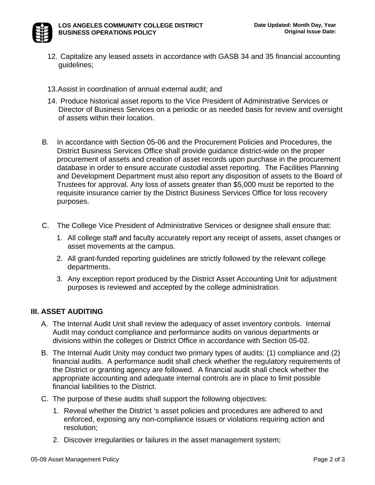- 12. Capitalize any leased assets in accordance with GASB 34 and 35 financial accounting guidelines;
- 13. Assist in coordination of annual external audit; and
- 14. Produce historical asset reports to the Vice President of Administrative Services or Director of Business Services on a periodic or as needed basis for review and oversight of assets within their location.
- B. In accordance with Section 05-06 and the Procurement Policies and Procedures, the District Business Services Office shall provide guidance district-wide on the proper procurement of assets and creation of asset records upon purchase in the procurement database in order to ensure accurate custodial asset reporting. The Facilities Planning and Development Department must also report any disposition of assets to the Board of Trustees for approval. Any loss of assets greater than \$5,000 must be reported to the requisite insurance carrier by the District Business Services Office for loss recovery purposes.
- C. The College Vice President of Administrative Services or designee shall ensure that:
	- 1. All college staff and faculty accurately report any receipt of assets, asset changes or asset movements at the campus.
	- 2. All grant-funded reporting guidelines are strictly followed by the relevant college departments.
	- 3. Any exception report produced by the District Asset Accounting Unit for adjustment purposes is reviewed and accepted by the college administration.

# **III. ASSET AUDITING**

- A. The Internal Audit Unit shall review the adequacy of asset inventory controls. Internal Audit may conduct compliance and performance audits on various departments or divisions within the colleges or District Office in accordance with Section 05-02.
- B. The Internal Audit Unity may conduct two primary types of audits: (1) compliance and (2) financial audits. A performance audit shall check whether the regulatory requirements of the District or granting agency are followed. A financial audit shall check whether the appropriate accounting and adequate internal controls are in place to limit possible financial liabilities to the District.
- C. The purpose of these audits shall support the following objectives:
	- 1. Reveal whether the District 's asset policies and procedures are adhered to and enforced, exposing any non-compliance issues or violations requiring action and resolution;
	- 2. Discover irregularities or failures in the asset management system;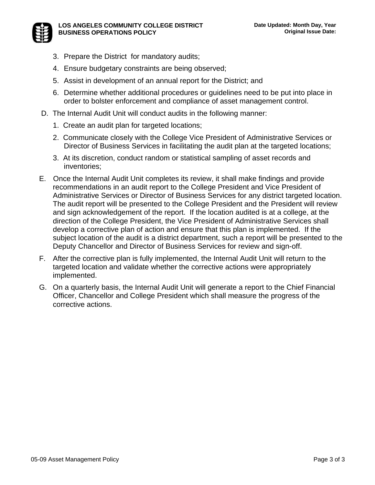

- 3. Prepare the District for mandatory audits;
- 4. Ensure budgetary constraints are being observed;
- 5. Assist in development of an annual report for the District; and
- 6. Determine whether additional procedures or guidelines need to be put into place in order to bolster enforcement and compliance of asset management control.
- D. The Internal Audit Unit will conduct audits in the following manner:
	- 1. Create an audit plan for targeted locations;
	- 2. Communicate closely with the College Vice President of Administrative Services or Director of Business Services in facilitating the audit plan at the targeted locations;
	- 3. At its discretion, conduct random or statistical sampling of asset records and inventories;
- E. Once the Internal Audit Unit completes its review, it shall make findings and provide recommendations in an audit report to the College President and Vice President of Administrative Services or Director of Business Services for any district targeted location. The audit report will be presented to the College President and the President will review and sign acknowledgement of the report. If the location audited is at a college, at the direction of the College President, the Vice President of Administrative Services shall develop a corrective plan of action and ensure that this plan is implemented. If the subject location of the audit is a district department, such a report will be presented to the Deputy Chancellor and Director of Business Services for review and sign-off.
- F. After the corrective plan is fully implemented, the Internal Audit Unit will return to the targeted location and validate whether the corrective actions were appropriately implemented.
- G. On a quarterly basis, the Internal Audit Unit will generate a report to the Chief Financial Officer, Chancellor and College President which shall measure the progress of the corrective actions.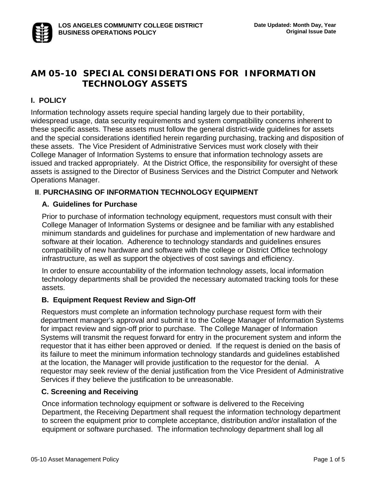# **AM 05-10 SPECIAL CONSIDERATIONS FOR INFORMATION TECHNOLOGY ASSETS**

# **I. POLICY**

Information technology assets require special handing largely due to their portability, widespread usage, data security requirements and system compatibility concerns inherent to these specific assets. These assets must follow the general district-wide guidelines for assets and the special considerations identified herein regarding purchasing, tracking and disposition of these assets. The Vice President of Administrative Services must work closely with their College Manager of Information Systems to ensure that information technology assets are issued and tracked appropriately. At the District Office, the responsibility for oversight of these assets is assigned to the Director of Business Services and the District Computer and Network Operations Manager.

# **II**. **PURCHASING OF INFORMATION TECHNOLOGY EQUIPMENT**

### **A. Guidelines for Purchase**

Prior to purchase of information technology equipment, requestors must consult with their College Manager of Information Systems or designee and be familiar with any established minimum standards and guidelines for purchase and implementation of new hardware and software at their location. Adherence to technology standards and guidelines ensures compatibility of new hardware and software with the college or District Office technology infrastructure, as well as support the objectives of cost savings and efficiency.

In order to ensure accountability of the information technology assets, local information technology departmentsshall be provided the necessary automated tracking tools for these assets.

#### **B. Equipment Request Review and Sign-Off**

Requestors must complete an information technology purchase request form with their department manager's approval and submit it to the College Manager of Information Systems for impact review and sign-off prior to purchase. The College Manager of Information Systems will transmit the request forward for entry in the procurement system and inform the requestor that it has either been approved or denied. If the request is denied on the basis of its failure to meet the minimum information technology standards and guidelines established at the location, the Manager will provide justification to the requestor for the denial. A requestor may seek review of the denial justification from the Vice President of Administrative Services if they believe the justification to be unreasonable.

#### **C. Screening and Receiving**

Once information technology equipment or software is delivered to the Receiving Department, the Receiving Department shall request the information technology department to screen the equipment prior to complete acceptance, distribution and/or installation of the equipment or software purchased. The information technology department shall log all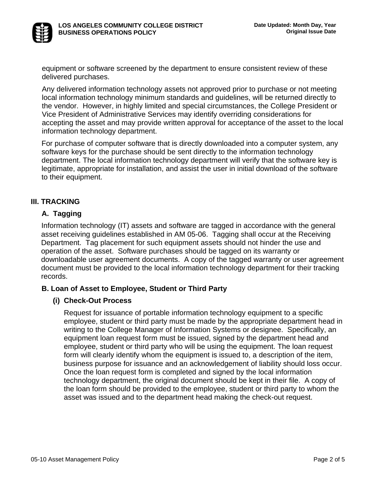

equipment or software screened by the department to ensure consistent review of these delivered purchases.

Any delivered information technology assets not approved prior to purchase or not meeting local information technology minimum standards and guidelines, will be returned directly to the vendor. However, in highly limited and special circumstances, the College President or Vice President of Administrative Services may identify overriding considerations for accepting the asset and may provide written approval for acceptance of the asset to the local information technology department.

For purchase of computer software that is directly downloaded into a computer system, any software keys for the purchase should be sent directly to the information technology department. The local information technology department will verify that the software key is legitimate, appropriate for installation, and assist the user in initial download of the software to their equipment.

# **III. TRACKING**

# **A. Tagging**

Information technology (IT) assets and software are tagged in accordance with the general asset receiving guidelines established in AM 05-06. Tagging shall occur at the Receiving Department. Tag placement for such equipment assets should not hinder the use and operation of the asset. Software purchases should be tagged on its warranty or downloadable user agreement documents. A copy of the tagged warranty or user agreement document must be provided to the local information technology department for their tracking records.

#### **B. Loan of Asset to Employee, Student or Third Party**

#### **(i) Check-Out Process**

Request for issuance of portable information technology equipment to a specific employee, student or third party must be made by the appropriate department head in writing to the College Manager of Information Systems or designee. Specifically, an equipment loan request form must be issued, signed by the department head and employee, student or third party who will be using the equipment. The loan request form will clearly identify whom the equipment is issued to, a description of the item, business purpose for issuance and an acknowledgement of liability should loss occur. Once the loan request form is completed and signed by the local information technology department, the original document should be kept in their file. A copy of the loan form should be provided to the employee, student or third party to whom the asset was issued and to the department head making the check-out request.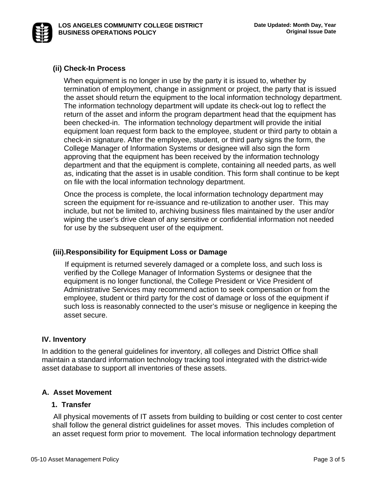

#### **(ii) Check-In Process**

When equipment is no longer in use by the party it is issued to, whether by termination of employment, change in assignment or project, the party that is issued the asset should return the equipment to the local information technology department. The information technology department will update its check-out log to reflect the return of the asset and inform the program department head that the equipment has been checked-in. The information technology department will provide the initial equipment loan request form back to the employee, student or third party to obtain a check-in signature. After the employee, student, or third party signs the form, the College Manager of Information Systems or designee will also sign the form approving that the equipment has been received by the information technology department and that the equipment is complete, containing all needed parts, as well as, indicating that the asset is in usable condition. This form shall continue to be kept on file with the local information technology department.

Once the process is complete, the local information technology department may screen the equipment for re-issuance and re-utilization to another user. This may include, but not be limited to, archiving business files maintained by the user and/or wiping the user's drive clean of any sensitive or confidential information not needed for use by the subsequent user of the equipment.

#### **(iii). Responsibility for Equipment Loss or Damage**

If equipment is returned severely damaged or a complete loss, and such loss is verified by the College Manager of Information Systems or designee that the equipment is no longer functional, the College President or Vice President of Administrative Services may recommend action to seek compensation or from the employee, student or third party for the cost of damage or loss of the equipment if such loss is reasonably connected to the user's misuse or negligence in keeping the asset secure.

#### **IV. Inventory**

In addition to the general guidelines for inventory, all colleges and District Office shall maintain a standard information technology tracking tool integrated with the district-wide asset database to support all inventories of these assets.

#### **A. Asset Movement**

#### **1. Transfer**

All physical movements of IT assets from building to building or cost center to cost center shall follow the general district guidelines for asset moves. This includes completion of an asset request form prior to movement. The local information technology department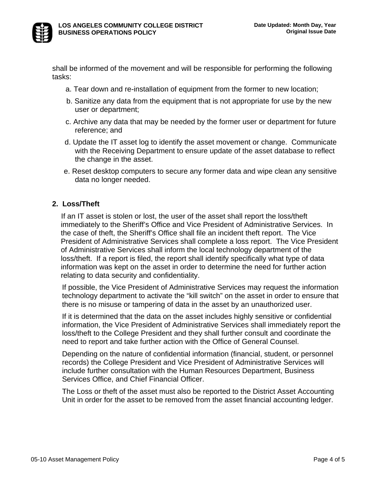

shall be informed of the movement and will be responsible for performing the following tasks:

- a. Tear down and re-installation of equipment from the former to new location;
- b. Sanitize any data from the equipment that is not appropriate for use by the new user or department;
- c. Archive any data that may be needed by the former user or department for future reference; and
- d. Update the IT asset log to identify the asset movement or change. Communicate with the Receiving Department to ensure update of the asset database to reflect the change in the asset.
- e. Reset desktop computers to secure any former data and wipe clean any sensitive data no longer needed.

### **2. Loss/Theft**

If an IT asset is stolen or lost, the user of the asset shall report the loss/theft immediately to the Sheriff's Office and Vice President of Administrative Services. In the case of theft, the Sheriff's Office shall file an incident theft report. The Vice President of Administrative Services shall complete a loss report. The Vice President of Administrative Services shall inform the local technology department of the loss/theft. If a report is filed, the report shall identify specifically what type of data information was kept on the asset in order to determine the need for further action relating to data security and confidentiality.

If possible, the Vice President of Administrative Services may request the information technology department to activate the "kill switch" on the asset in order to ensure that there is no misuse or tampering of data in the asset by an unauthorized user.

If it is determined that the data on the asset includes highly sensitive or confidential information, the Vice President of Administrative Services shall immediately report the loss/theft to the College President and they shall further consult and coordinate the need to report and take further action with the Office of General Counsel.

Depending on the nature of confidential information (financial, student, or personnel records) the College President and Vice President of Administrative Services will include further consultation with the Human Resources Department, Business Services Office, and Chief Financial Officer.

The Loss or theft of the asset must also be reported to the District Asset Accounting Unit in order for the asset to be removed from the asset financial accounting ledger.